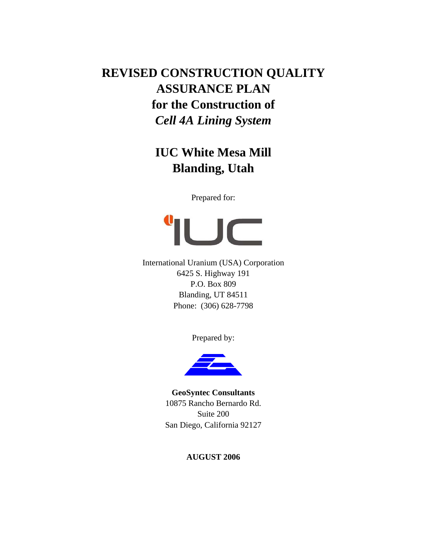# **REVISED CONSTRUCTION QUALITY ASSURANCE PLAN for the Construction of**  *Cell 4A Lining System*

# **IUC White Mesa Mill Blanding, Utah**

Prepared for:



International Uranium (USA) Corporation 6425 S. Highway 191 P.O. Box 809 Blanding, UT 84511 Phone: (306) 628-7798

Prepared by:



**GeoSyntec Consultants**  10875 Rancho Bernardo Rd. Suite 200 San Diego, California 92127

**AUGUST 2006**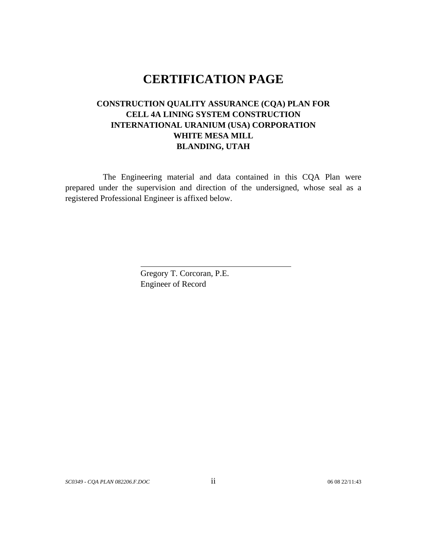# **CERTIFICATION PAGE**

## **CONSTRUCTION QUALITY ASSURANCE (CQA) PLAN FOR CELL 4A LINING SYSTEM CONSTRUCTION INTERNATIONAL URANIUM (USA) CORPORATION WHITE MESA MILL BLANDING, UTAH**

The Engineering material and data contained in this CQA Plan were prepared under the supervision and direction of the undersigned, whose seal as a registered Professional Engineer is affixed below.

> Gregory T. Corcoran, P.E. Engineer of Record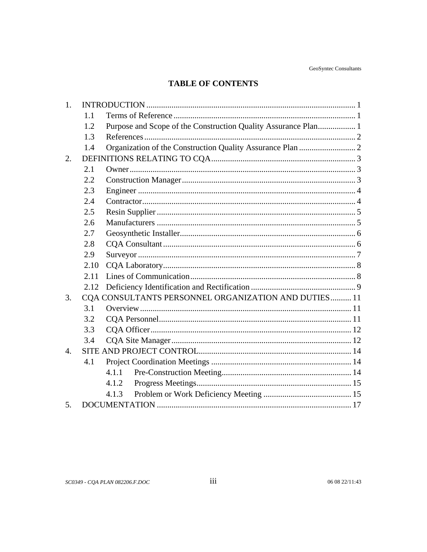## **TABLE OF CONTENTS**

| 1.               |      |                                                                |  |  |  |  |
|------------------|------|----------------------------------------------------------------|--|--|--|--|
|                  | 1.1  |                                                                |  |  |  |  |
|                  | 1.2  | Purpose and Scope of the Construction Quality Assurance Plan 1 |  |  |  |  |
|                  | 1.3  |                                                                |  |  |  |  |
|                  | 1.4  |                                                                |  |  |  |  |
| 2.               |      |                                                                |  |  |  |  |
|                  | 2.1  |                                                                |  |  |  |  |
|                  | 2.2  |                                                                |  |  |  |  |
|                  | 2.3  |                                                                |  |  |  |  |
|                  | 2.4  |                                                                |  |  |  |  |
|                  | 2.5  |                                                                |  |  |  |  |
|                  | 2.6  |                                                                |  |  |  |  |
|                  | 2.7  |                                                                |  |  |  |  |
|                  | 2.8  |                                                                |  |  |  |  |
|                  | 2.9  |                                                                |  |  |  |  |
|                  | 2.10 |                                                                |  |  |  |  |
|                  | 2.11 |                                                                |  |  |  |  |
|                  | 2.12 |                                                                |  |  |  |  |
| 3.               |      | CQA CONSULTANTS PERSONNEL ORGANIZATION AND DUTIES 11           |  |  |  |  |
|                  | 3.1  |                                                                |  |  |  |  |
|                  | 3.2  |                                                                |  |  |  |  |
|                  | 3.3  |                                                                |  |  |  |  |
|                  | 3.4  |                                                                |  |  |  |  |
| $\overline{4}$ . |      |                                                                |  |  |  |  |
|                  | 4.1  |                                                                |  |  |  |  |
|                  |      | 4.1.1                                                          |  |  |  |  |
|                  |      | 4.1.2                                                          |  |  |  |  |
|                  |      | 4.1.3                                                          |  |  |  |  |
| 5.               |      |                                                                |  |  |  |  |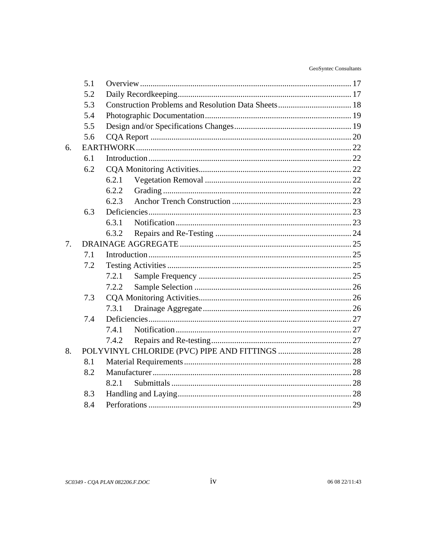| GeoSyntec Consultants |  |
|-----------------------|--|
|-----------------------|--|

|    | 5.1 |       |  |  |  |  |
|----|-----|-------|--|--|--|--|
|    | 5.2 |       |  |  |  |  |
|    | 5.3 |       |  |  |  |  |
|    | 5.4 |       |  |  |  |  |
|    | 5.5 |       |  |  |  |  |
|    | 5.6 |       |  |  |  |  |
| 6. |     |       |  |  |  |  |
|    | 6.1 |       |  |  |  |  |
|    | 6.2 |       |  |  |  |  |
|    |     | 6.2.1 |  |  |  |  |
|    |     | 6.2.2 |  |  |  |  |
|    |     | 6.2.3 |  |  |  |  |
|    | 6.3 |       |  |  |  |  |
|    |     | 6.3.1 |  |  |  |  |
|    |     | 6.3.2 |  |  |  |  |
| 7. |     |       |  |  |  |  |
|    | 7.1 |       |  |  |  |  |
|    | 7.2 |       |  |  |  |  |
|    |     | 7.2.1 |  |  |  |  |
|    |     | 7.2.2 |  |  |  |  |
|    | 7.3 |       |  |  |  |  |
|    |     | 7.3.1 |  |  |  |  |
|    | 7.4 |       |  |  |  |  |
|    |     | 7.4.1 |  |  |  |  |
|    |     | 7.4.2 |  |  |  |  |
| 8. |     |       |  |  |  |  |
|    | 8.1 |       |  |  |  |  |
|    | 8.2 |       |  |  |  |  |
|    |     | 8.2.1 |  |  |  |  |
|    | 8.3 |       |  |  |  |  |
|    | 8.4 |       |  |  |  |  |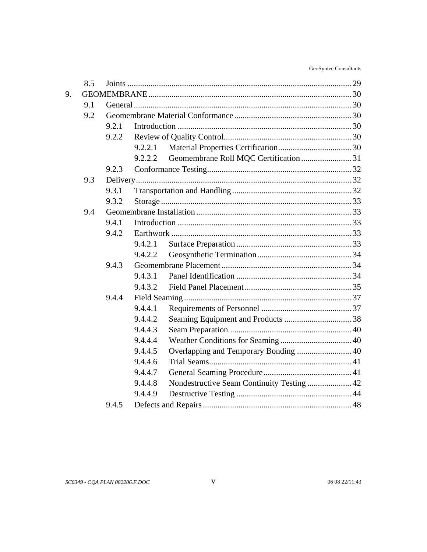| GeoSyntec Consultants |  |
|-----------------------|--|
|-----------------------|--|

|    | 8.5            |       |         |                                            |  |  |
|----|----------------|-------|---------|--------------------------------------------|--|--|
| 9. |                |       |         |                                            |  |  |
|    | 9.1            |       |         |                                            |  |  |
|    | 9.2            |       |         |                                            |  |  |
|    |                | 9.2.1 |         |                                            |  |  |
|    |                | 9.2.2 |         |                                            |  |  |
|    |                |       | 9.2.2.1 |                                            |  |  |
|    |                |       | 9.2.2.2 |                                            |  |  |
|    | 9.3<br>9.4     | 9.2.3 |         |                                            |  |  |
|    |                |       |         |                                            |  |  |
|    |                | 9.3.1 |         |                                            |  |  |
|    |                | 9.3.2 |         |                                            |  |  |
|    |                |       |         |                                            |  |  |
|    |                | 9.4.1 |         |                                            |  |  |
|    |                | 9.4.2 |         |                                            |  |  |
|    |                |       | 9.4.2.1 |                                            |  |  |
|    |                |       | 9.4.2.2 |                                            |  |  |
|    |                | 9.4.3 |         |                                            |  |  |
|    |                |       | 9.4.3.1 |                                            |  |  |
|    |                |       | 9.4.3.2 |                                            |  |  |
|    | 9.4.4<br>9.4.5 |       |         |                                            |  |  |
|    |                |       | 9.4.4.1 |                                            |  |  |
|    |                |       | 9.4.4.2 |                                            |  |  |
|    |                |       | 9.4.4.3 |                                            |  |  |
|    |                |       | 9.4.4.4 |                                            |  |  |
|    |                |       | 9.4.4.5 |                                            |  |  |
|    |                |       | 9.4.4.6 |                                            |  |  |
|    |                |       | 9.4.4.7 |                                            |  |  |
|    |                |       | 9.4.4.8 | Nondestructive Seam Continuity Testing  42 |  |  |
|    |                |       | 9.4.4.9 |                                            |  |  |
|    |                |       |         |                                            |  |  |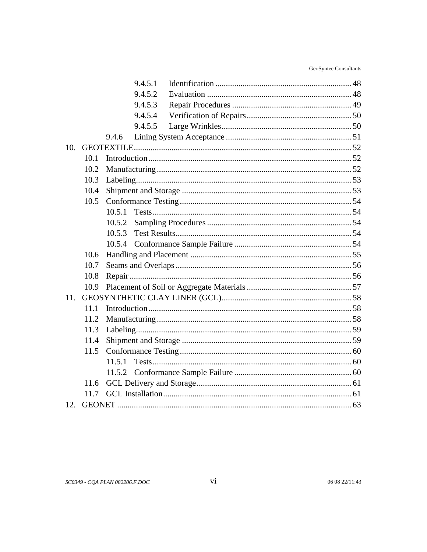|     |      | 9.4.5.1 |  |
|-----|------|---------|--|
|     |      | 9.4.5.2 |  |
|     |      | 9.4.5.3 |  |
|     |      | 9.4.5.4 |  |
|     |      | 9.4.5.5 |  |
|     |      | 9.4.6   |  |
| 10. |      |         |  |
|     | 10.1 |         |  |
|     | 10.2 |         |  |
|     | 10.3 |         |  |
|     | 10.4 |         |  |
|     | 10.5 |         |  |
|     |      | 10.5.1  |  |
|     |      | 10.5.2  |  |
|     |      | 10.5.3  |  |
|     |      | 10.5.4  |  |
|     | 10.6 |         |  |
|     | 10.7 |         |  |
|     | 10.8 |         |  |
|     | 10.9 |         |  |
| 11. |      |         |  |
|     | 11.1 |         |  |
|     | 11.2 |         |  |
|     | 11.3 |         |  |
|     | 11.4 |         |  |
|     | 11.5 |         |  |
|     |      | 11.5.1  |  |
|     |      | 11.5.2  |  |
|     | 11.6 |         |  |
|     | 11.7 |         |  |
| 12. |      |         |  |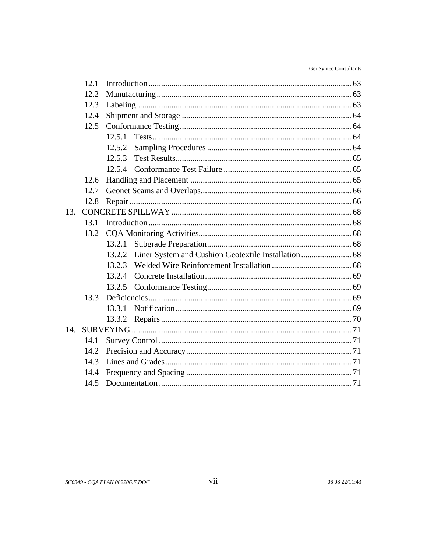| GeoSyntec Consultants |
|-----------------------|
|                       |

|      | 12.5.2                               |                                                                |  |  |
|------|--------------------------------------|----------------------------------------------------------------|--|--|
|      | 12.5.3                               |                                                                |  |  |
|      |                                      |                                                                |  |  |
| 12.6 |                                      |                                                                |  |  |
| 12.7 |                                      |                                                                |  |  |
| 12.8 |                                      |                                                                |  |  |
| 13.  |                                      |                                                                |  |  |
| 13.1 |                                      |                                                                |  |  |
| 13.2 |                                      |                                                                |  |  |
|      | 13.2.1                               |                                                                |  |  |
|      | 13.2.2                               |                                                                |  |  |
|      | 13.2.3                               |                                                                |  |  |
|      | 13.2.4                               |                                                                |  |  |
|      | 13.2.5                               |                                                                |  |  |
| 13.3 |                                      |                                                                |  |  |
|      | 13.3.1                               |                                                                |  |  |
|      | 13.3.2                               |                                                                |  |  |
|      |                                      |                                                                |  |  |
| 14.1 |                                      |                                                                |  |  |
| 14.2 |                                      |                                                                |  |  |
| 14.3 |                                      |                                                                |  |  |
| 14.4 |                                      |                                                                |  |  |
| 14.5 |                                      |                                                                |  |  |
|      | 12.1<br>12.2<br>12.3<br>12.4<br>12.5 | 12.5.1<br>Liner System and Cushion Geotextile Installation  68 |  |  |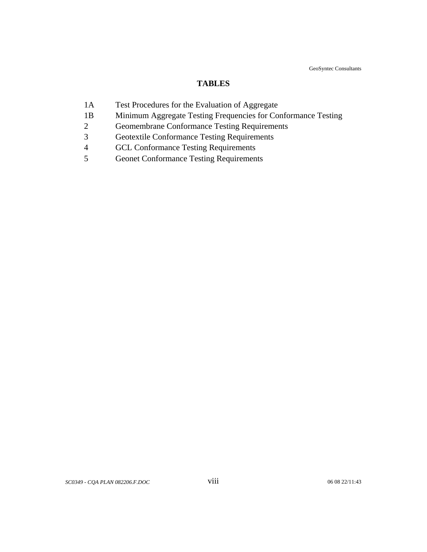GeoSyntec Consultants

#### **TABLES**

- 1A Test Procedures for the Evaluation of Aggregate
- 1B Minimum Aggregate Testing Frequencies for Conformance Testing
- 2 Geomembrane Conformance Testing Requirements
- 3 Geotextile Conformance Testing Requirements
- 4 GCL Conformance Testing Requirements
- 5 Geonet Conformance Testing Requirements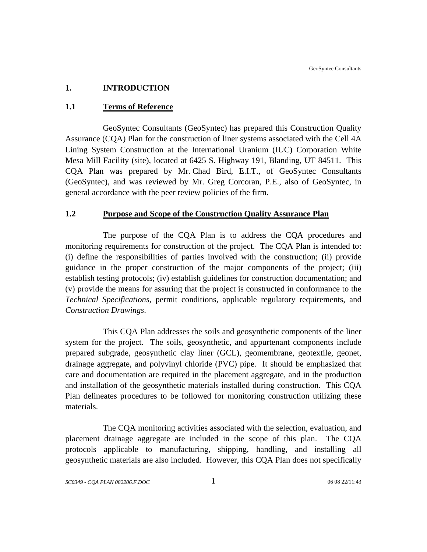## <span id="page-8-0"></span>**1. INTRODUCTION**

## **1.1 Terms of Reference**

GeoSyntec Consultants (GeoSyntec) has prepared this Construction Quality Assurance (CQA) Plan for the construction of liner systems associated with the Cell 4A Lining System Construction at the International Uranium (IUC) Corporation White Mesa Mill Facility (site), located at 6425 S. Highway 191, Blanding, UT 84511. This CQA Plan was prepared by Mr. Chad Bird, E.I.T., of GeoSyntec Consultants (GeoSyntec), and was reviewed by Mr. Greg Corcoran, P.E., also of GeoSyntec, in general accordance with the peer review policies of the firm.

#### **1.2 Purpose and Scope of the Construction Quality Assurance Plan**

The purpose of the CQA Plan is to address the CQA procedures and monitoring requirements for construction of the project. The CQA Plan is intended to: (i) define the responsibilities of parties involved with the construction; (ii) provide guidance in the proper construction of the major components of the project; (iii) establish testing protocols; (iv) establish guidelines for construction documentation; and (v) provide the means for assuring that the project is constructed in conformance to the *Technical Specifications*, permit conditions, applicable regulatory requirements, and *Construction Drawings*.

This CQA Plan addresses the soils and geosynthetic components of the liner system for the project. The soils, geosynthetic, and appurtenant components include prepared subgrade, geosynthetic clay liner (GCL), geomembrane, geotextile, geonet, drainage aggregate, and polyvinyl chloride (PVC) pipe. It should be emphasized that care and documentation are required in the placement aggregate, and in the production and installation of the geosynthetic materials installed during construction. This CQA Plan delineates procedures to be followed for monitoring construction utilizing these materials.

The CQA monitoring activities associated with the selection, evaluation, and placement drainage aggregate are included in the scope of this plan. The CQA protocols applicable to manufacturing, shipping, handling, and installing all geosynthetic materials are also included. However, this CQA Plan does not specifically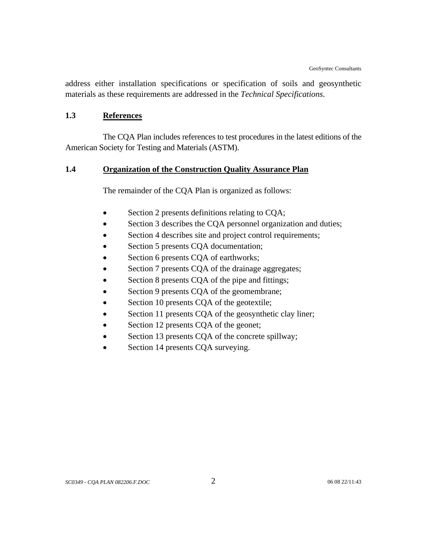<span id="page-9-0"></span>address either installation specifications or specification of soils and geosynthetic materials as these requirements are addressed in the *Technical Specifications*.

#### **1.3 References**

The CQA Plan includes references to test procedures in the latest editions of the American Society for Testing and Materials (ASTM).

## **1.4 Organization of the Construction Quality Assurance Plan**

The remainder of the CQA Plan is organized as follows:

- Section 2 presents definitions relating to CQA;
- Section 3 describes the CQA personnel organization and duties;
- Section 4 describes site and project control requirements;
- Section 5 presents CQA documentation;
- Section 6 presents CQA of earthworks;
- Section 7 presents CQA of the drainage aggregates;
- Section 8 presents CQA of the pipe and fittings;
- Section 9 presents CQA of the geomembrane;
- Section 10 presents CQA of the geotextile;
- Section 11 presents CQA of the geosynthetic clay liner;
- Section 12 presents CQA of the geonet;
- Section 13 presents CQA of the concrete spillway;
- Section 14 presents CQA surveying.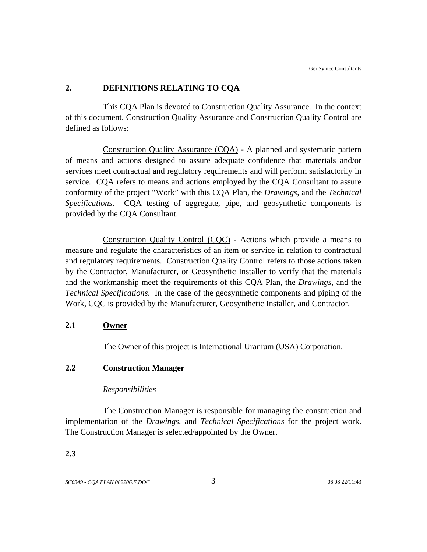#### <span id="page-10-0"></span>**2. DEFINITIONS RELATING TO CQA**

This CQA Plan is devoted to Construction Quality Assurance. In the context of this document, Construction Quality Assurance and Construction Quality Control are defined as follows:

Construction Quality Assurance (CQA) - A planned and systematic pattern of means and actions designed to assure adequate confidence that materials and/or services meet contractual and regulatory requirements and will perform satisfactorily in service. CQA refers to means and actions employed by the CQA Consultant to assure conformity of the project "Work" with this CQA Plan, the *Drawings*, and the *Technical Specifications*. CQA testing of aggregate, pipe, and geosynthetic components is provided by the CQA Consultant.

Construction Quality Control (CQC) - Actions which provide a means to measure and regulate the characteristics of an item or service in relation to contractual and regulatory requirements. Construction Quality Control refers to those actions taken by the Contractor, Manufacturer, or Geosynthetic Installer to verify that the materials and the workmanship meet the requirements of this CQA Plan, the *Drawings*, and the *Technical Specifications*. In the case of the geosynthetic components and piping of the Work, CQC is provided by the Manufacturer, Geosynthetic Installer, and Contractor.

#### **2.1 Owner**

The Owner of this project is International Uranium (USA) Corporation.

## **2.2 Construction Manager**

#### *Responsibilities*

The Construction Manager is responsible for managing the construction and implementation of the *Drawings*, and *Technical Specifications* for the project work. The Construction Manager is selected/appointed by the Owner.

#### **2.3**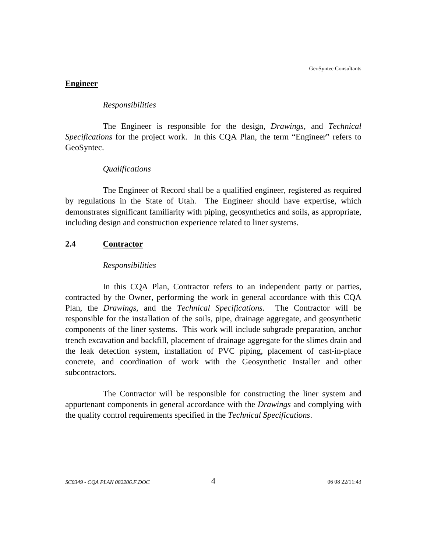#### <span id="page-11-0"></span>**Engineer**

#### *Responsibilities*

The Engineer is responsible for the design, *Drawings*, and *Technical Specifications* for the project work. In this CQA Plan, the term "Engineer" refers to GeoSyntec.

#### *Qualifications*

The Engineer of Record shall be a qualified engineer, registered as required by regulations in the State of Utah. The Engineer should have expertise, which demonstrates significant familiarity with piping, geosynthetics and soils, as appropriate, including design and construction experience related to liner systems.

#### **2.4 Contractor**

#### *Responsibilities*

In this CQA Plan, Contractor refers to an independent party or parties, contracted by the Owner, performing the work in general accordance with this CQA Plan, the *Drawings*, and the *Technical Specifications*. The Contractor will be responsible for the installation of the soils, pipe, drainage aggregate, and geosynthetic components of the liner systems. This work will include subgrade preparation, anchor trench excavation and backfill, placement of drainage aggregate for the slimes drain and the leak detection system, installation of PVC piping, placement of cast-in-place concrete, and coordination of work with the Geosynthetic Installer and other subcontractors.

The Contractor will be responsible for constructing the liner system and appurtenant components in general accordance with the *Drawings* and complying with the quality control requirements specified in the *Technical Specifications*.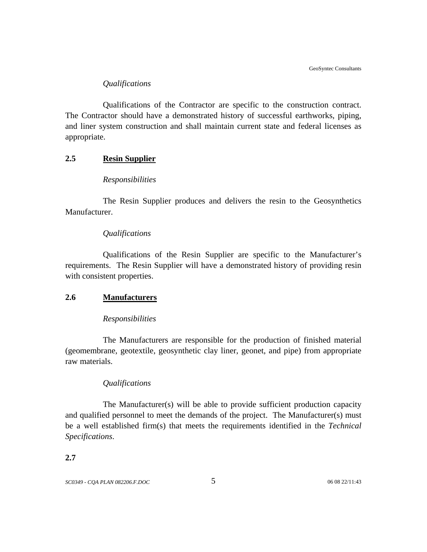#### *Qualifications*

<span id="page-12-0"></span>Qualifications of the Contractor are specific to the construction contract. The Contractor should have a demonstrated history of successful earthworks, piping, and liner system construction and shall maintain current state and federal licenses as appropriate.

## **2.5 Resin Supplier**

#### *Responsibilities*

The Resin Supplier produces and delivers the resin to the Geosynthetics Manufacturer.

#### *Qualifications*

Qualifications of the Resin Supplier are specific to the Manufacturer's requirements. The Resin Supplier will have a demonstrated history of providing resin with consistent properties.

#### **2.6 Manufacturers**

#### *Responsibilities*

The Manufacturers are responsible for the production of finished material (geomembrane, geotextile, geosynthetic clay liner, geonet, and pipe) from appropriate raw materials.

#### *Qualifications*

The Manufacturer(s) will be able to provide sufficient production capacity and qualified personnel to meet the demands of the project. The Manufacturer(s) must be a well established firm(s) that meets the requirements identified in the *Technical Specifications*.

#### **2.7**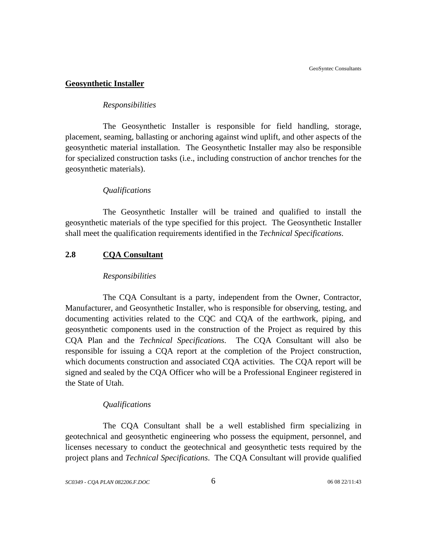#### <span id="page-13-0"></span>**Geosynthetic Installer**

#### *Responsibilities*

The Geosynthetic Installer is responsible for field handling, storage, placement, seaming, ballasting or anchoring against wind uplift, and other aspects of the geosynthetic material installation. The Geosynthetic Installer may also be responsible for specialized construction tasks (i.e., including construction of anchor trenches for the geosynthetic materials).

#### *Qualifications*

The Geosynthetic Installer will be trained and qualified to install the geosynthetic materials of the type specified for this project. The Geosynthetic Installer shall meet the qualification requirements identified in the *Technical Specifications*.

## **2.8 CQA Consultant**

#### *Responsibilities*

The CQA Consultant is a party, independent from the Owner, Contractor, Manufacturer, and Geosynthetic Installer, who is responsible for observing, testing, and documenting activities related to the CQC and CQA of the earthwork, piping, and geosynthetic components used in the construction of the Project as required by this CQA Plan and the *Technical Specifications*. The CQA Consultant will also be responsible for issuing a CQA report at the completion of the Project construction, which documents construction and associated CQA activities. The CQA report will be signed and sealed by the CQA Officer who will be a Professional Engineer registered in the State of Utah.

#### *Qualifications*

The CQA Consultant shall be a well established firm specializing in geotechnical and geosynthetic engineering who possess the equipment, personnel, and licenses necessary to conduct the geotechnical and geosynthetic tests required by the project plans and *Technical Specifications*. The CQA Consultant will provide qualified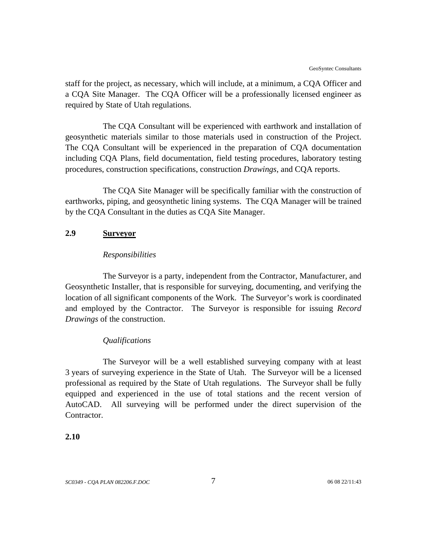<span id="page-14-0"></span>staff for the project, as necessary, which will include, at a minimum, a CQA Officer and a CQA Site Manager. The CQA Officer will be a professionally licensed engineer as required by State of Utah regulations.

The CQA Consultant will be experienced with earthwork and installation of geosynthetic materials similar to those materials used in construction of the Project. The CQA Consultant will be experienced in the preparation of CQA documentation including CQA Plans, field documentation, field testing procedures, laboratory testing procedures, construction specifications, construction *Drawings*, and CQA reports.

The CQA Site Manager will be specifically familiar with the construction of earthworks, piping, and geosynthetic lining systems. The CQA Manager will be trained by the CQA Consultant in the duties as CQA Site Manager.

#### **2.9 Surveyor**

#### *Responsibilities*

The Surveyor is a party, independent from the Contractor, Manufacturer, and Geosynthetic Installer, that is responsible for surveying, documenting, and verifying the location of all significant components of the Work. The Surveyor's work is coordinated and employed by the Contractor. The Surveyor is responsible for issuing *Record Drawings* of the construction.

#### *Qualifications*

The Surveyor will be a well established surveying company with at least 3 years of surveying experience in the State of Utah. The Surveyor will be a licensed professional as required by the State of Utah regulations. The Surveyor shall be fully equipped and experienced in the use of total stations and the recent version of AutoCAD. All surveying will be performed under the direct supervision of the Contractor.

## **2.10**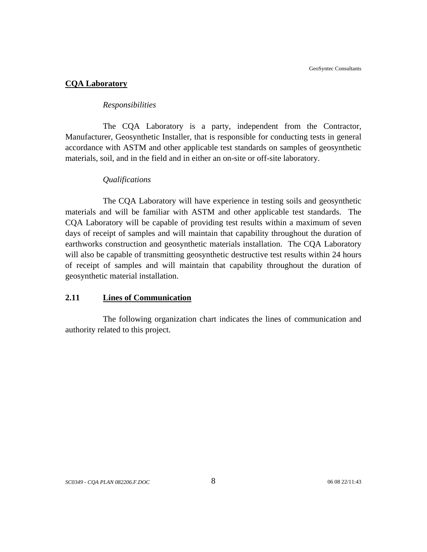#### <span id="page-15-0"></span>**CQA Laboratory**

#### *Responsibilities*

The CQA Laboratory is a party, independent from the Contractor, Manufacturer, Geosynthetic Installer, that is responsible for conducting tests in general accordance with ASTM and other applicable test standards on samples of geosynthetic materials, soil, and in the field and in either an on-site or off-site laboratory.

#### *Qualifications*

The CQA Laboratory will have experience in testing soils and geosynthetic materials and will be familiar with ASTM and other applicable test standards. The CQA Laboratory will be capable of providing test results within a maximum of seven days of receipt of samples and will maintain that capability throughout the duration of earthworks construction and geosynthetic materials installation. The CQA Laboratory will also be capable of transmitting geosynthetic destructive test results within 24 hours of receipt of samples and will maintain that capability throughout the duration of geosynthetic material installation.

#### **2.11 Lines of Communication**

The following organization chart indicates the lines of communication and authority related to this project.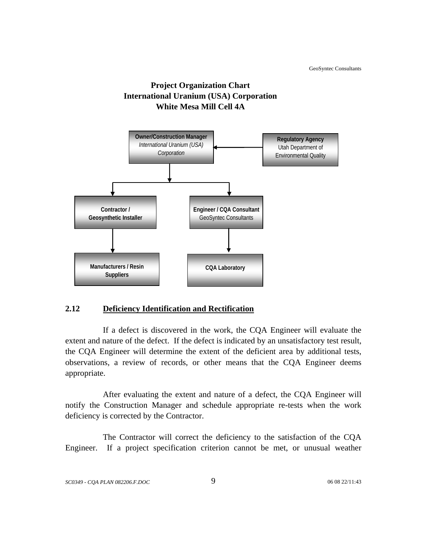

<span id="page-16-0"></span>

## **2.12 Deficiency Identification and Rectification**

If a defect is discovered in the work, the CQA Engineer will evaluate the extent and nature of the defect. If the defect is indicated by an unsatisfactory test result, the CQA Engineer will determine the extent of the deficient area by additional tests, observations, a review of records, or other means that the CQA Engineer deems appropriate.

After evaluating the extent and nature of a defect, the CQA Engineer will notify the Construction Manager and schedule appropriate re-tests when the work deficiency is corrected by the Contractor.

The Contractor will correct the deficiency to the satisfaction of the CQA Engineer. If a project specification criterion cannot be met, or unusual weather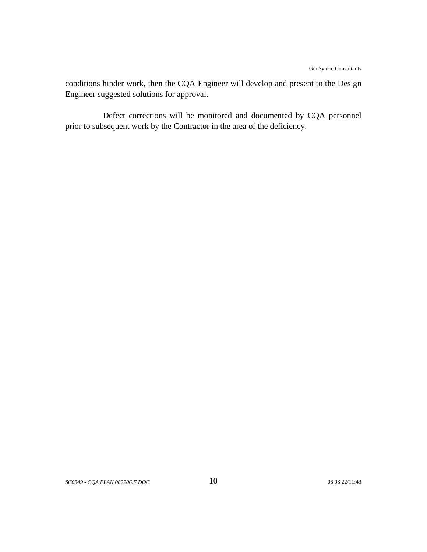conditions hinder work, then the CQA Engineer will develop and present to the Design Engineer suggested solutions for approval.

Defect corrections will be monitored and documented by CQA personnel prior to subsequent work by the Contractor in the area of the deficiency.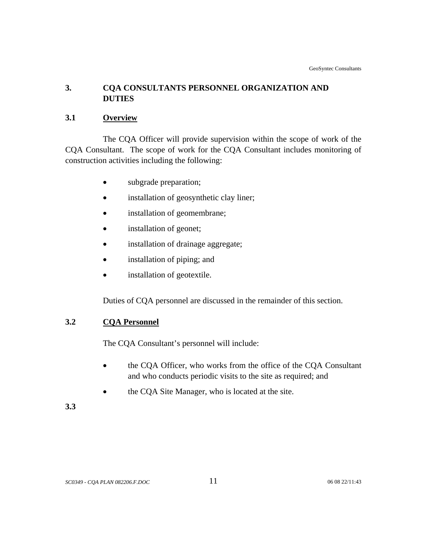## <span id="page-18-0"></span>**3. CQA CONSULTANTS PERSONNEL ORGANIZATION AND DUTIES**

## **3.1 Overview**

The CQA Officer will provide supervision within the scope of work of the CQA Consultant. The scope of work for the CQA Consultant includes monitoring of construction activities including the following:

- subgrade preparation;
- installation of geosynthetic clay liner;
- installation of geomembrane;
- installation of geonet;
- installation of drainage aggregate;
- installation of piping; and
- installation of geotextile.

Duties of CQA personnel are discussed in the remainder of this section.

## **3.2 CQA Personnel**

The CQA Consultant's personnel will include:

- the CQA Officer, who works from the office of the CQA Consultant and who conducts periodic visits to the site as required; and
- the CQA Site Manager, who is located at the site.

## **3.3**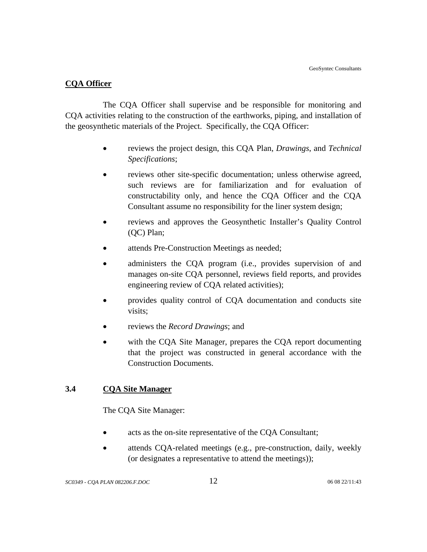#### <span id="page-19-0"></span>**CQA Officer**

The CQA Officer shall supervise and be responsible for monitoring and CQA activities relating to the construction of the earthworks, piping, and installation of the geosynthetic materials of the Project. Specifically, the CQA Officer:

- reviews the project design, this CQA Plan, *Drawings*, and *Technical Specifications*;
- reviews other site-specific documentation; unless otherwise agreed, such reviews are for familiarization and for evaluation of constructability only, and hence the CQA Officer and the CQA Consultant assume no responsibility for the liner system design;
- reviews and approves the Geosynthetic Installer's Quality Control (QC) Plan;
- attends Pre-Construction Meetings as needed;
- administers the CQA program (i.e., provides supervision of and manages on-site CQA personnel, reviews field reports, and provides engineering review of CQA related activities);
- provides quality control of CQA documentation and conducts site visits;
- reviews the *Record Drawings*; and
- with the COA Site Manager, prepares the COA report documenting that the project was constructed in general accordance with the Construction Documents.

## **3.4 CQA Site Manager**

The CQA Site Manager:

- acts as the on-site representative of the CQA Consultant;
- attends CQA-related meetings (e.g., pre-construction, daily, weekly (or designates a representative to attend the meetings));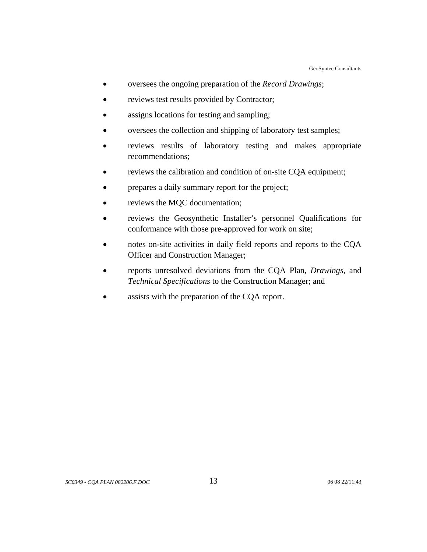- oversees the ongoing preparation of the *Record Drawings*;
- reviews test results provided by Contractor;
- assigns locations for testing and sampling;
- oversees the collection and shipping of laboratory test samples;
- reviews results of laboratory testing and makes appropriate recommendations;
- reviews the calibration and condition of on-site CQA equipment;
- prepares a daily summary report for the project;
- reviews the MQC documentation;
- reviews the Geosynthetic Installer's personnel Qualifications for conformance with those pre-approved for work on site;
- notes on-site activities in daily field reports and reports to the CQA Officer and Construction Manager;
- reports unresolved deviations from the CQA Plan, *Drawings*, and *Technical Specifications* to the Construction Manager; and
- assists with the preparation of the CQA report.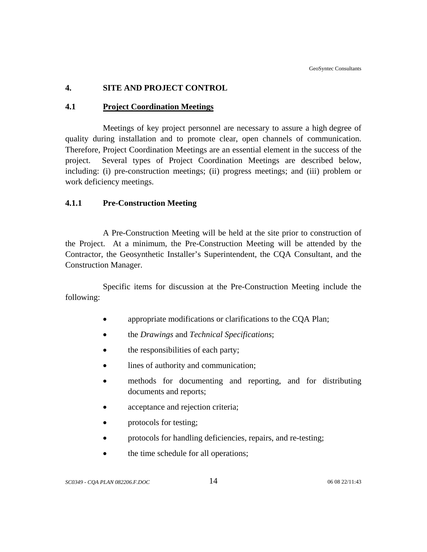## <span id="page-21-0"></span>**4. SITE AND PROJECT CONTROL**

#### **4.1 Project Coordination Meetings**

Meetings of key project personnel are necessary to assure a high degree of quality during installation and to promote clear, open channels of communication. Therefore, Project Coordination Meetings are an essential element in the success of the project. Several types of Project Coordination Meetings are described below, including: (i) pre-construction meetings; (ii) progress meetings; and (iii) problem or work deficiency meetings.

## **4.1.1 Pre-Construction Meeting**

A Pre-Construction Meeting will be held at the site prior to construction of the Project. At a minimum, the Pre-Construction Meeting will be attended by the Contractor, the Geosynthetic Installer's Superintendent, the CQA Consultant, and the Construction Manager.

Specific items for discussion at the Pre-Construction Meeting include the following:

- appropriate modifications or clarifications to the CQA Plan;
- the *Drawings* and *Technical Specifications*;
- the responsibilities of each party;
- lines of authority and communication;
- methods for documenting and reporting, and for distributing documents and reports;
- acceptance and rejection criteria;
- protocols for testing;
- protocols for handling deficiencies, repairs, and re-testing;
- the time schedule for all operations;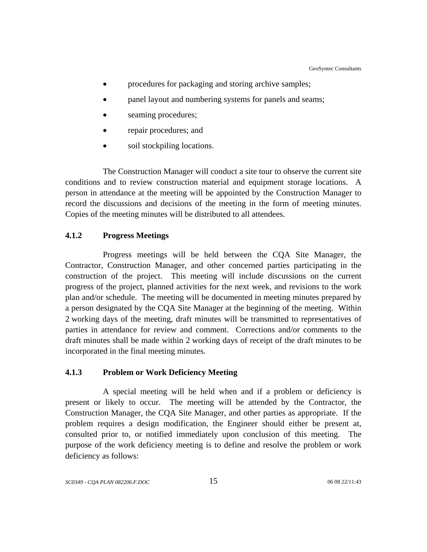- <span id="page-22-0"></span>procedures for packaging and storing archive samples;
- panel layout and numbering systems for panels and seams;
- seaming procedures;
- repair procedures; and
- soil stockpiling locations.

The Construction Manager will conduct a site tour to observe the current site conditions and to review construction material and equipment storage locations. A person in attendance at the meeting will be appointed by the Construction Manager to record the discussions and decisions of the meeting in the form of meeting minutes. Copies of the meeting minutes will be distributed to all attendees.

#### **4.1.2 Progress Meetings**

Progress meetings will be held between the CQA Site Manager, the Contractor, Construction Manager, and other concerned parties participating in the construction of the project. This meeting will include discussions on the current progress of the project, planned activities for the next week, and revisions to the work plan and/or schedule. The meeting will be documented in meeting minutes prepared by a person designated by the CQA Site Manager at the beginning of the meeting. Within 2 working days of the meeting, draft minutes will be transmitted to representatives of parties in attendance for review and comment. Corrections and/or comments to the draft minutes shall be made within 2 working days of receipt of the draft minutes to be incorporated in the final meeting minutes.

#### **4.1.3 Problem or Work Deficiency Meeting**

A special meeting will be held when and if a problem or deficiency is present or likely to occur. The meeting will be attended by the Contractor, the Construction Manager, the CQA Site Manager, and other parties as appropriate. If the problem requires a design modification, the Engineer should either be present at, consulted prior to, or notified immediately upon conclusion of this meeting. The purpose of the work deficiency meeting is to define and resolve the problem or work deficiency as follows: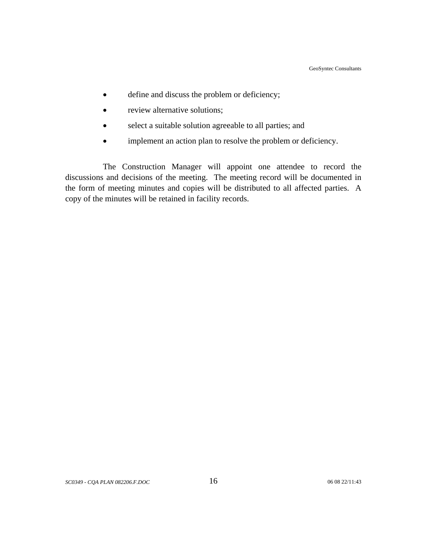- define and discuss the problem or deficiency;
- review alternative solutions;
- select a suitable solution agreeable to all parties; and
- implement an action plan to resolve the problem or deficiency.

The Construction Manager will appoint one attendee to record the discussions and decisions of the meeting. The meeting record will be documented in the form of meeting minutes and copies will be distributed to all affected parties. A copy of the minutes will be retained in facility records.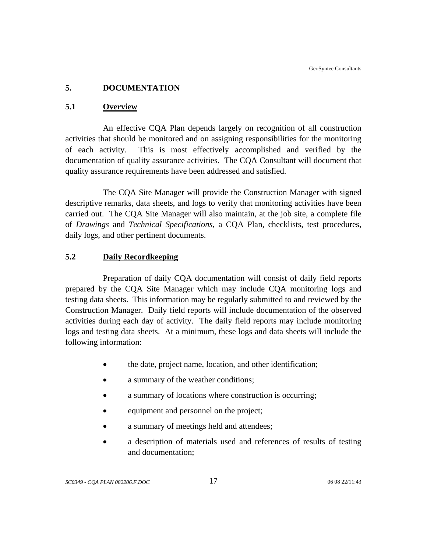## <span id="page-24-0"></span>**5. DOCUMENTATION**

#### **5.1 Overview**

An effective CQA Plan depends largely on recognition of all construction activities that should be monitored and on assigning responsibilities for the monitoring of each activity. This is most effectively accomplished and verified by the documentation of quality assurance activities. The CQA Consultant will document that quality assurance requirements have been addressed and satisfied.

The CQA Site Manager will provide the Construction Manager with signed descriptive remarks, data sheets, and logs to verify that monitoring activities have been carried out. The CQA Site Manager will also maintain, at the job site, a complete file of *Drawings* and *Technical Specifications*, a CQA Plan, checklists, test procedures, daily logs, and other pertinent documents.

## **5.2 Daily Recordkeeping**

Preparation of daily CQA documentation will consist of daily field reports prepared by the CQA Site Manager which may include CQA monitoring logs and testing data sheets. This information may be regularly submitted to and reviewed by the Construction Manager. Daily field reports will include documentation of the observed activities during each day of activity. The daily field reports may include monitoring logs and testing data sheets. At a minimum, these logs and data sheets will include the following information:

- the date, project name, location, and other identification;
- a summary of the weather conditions;
- a summary of locations where construction is occurring:
- equipment and personnel on the project;
- a summary of meetings held and attendees;
- a description of materials used and references of results of testing and documentation;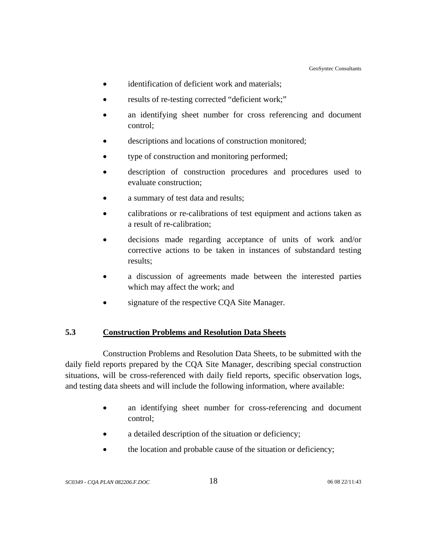- <span id="page-25-0"></span>• identification of deficient work and materials;
- results of re-testing corrected "deficient work;"
- an identifying sheet number for cross referencing and document control;
- descriptions and locations of construction monitored;
- type of construction and monitoring performed;
- description of construction procedures and procedures used to evaluate construction;
- a summary of test data and results;
- calibrations or re-calibrations of test equipment and actions taken as a result of re-calibration;
- decisions made regarding acceptance of units of work and/or corrective actions to be taken in instances of substandard testing results;
- a discussion of agreements made between the interested parties which may affect the work; and
- signature of the respective CQA Site Manager.

## **5.3 Construction Problems and Resolution Data Sheets**

Construction Problems and Resolution Data Sheets, to be submitted with the daily field reports prepared by the CQA Site Manager, describing special construction situations, will be cross-referenced with daily field reports, specific observation logs, and testing data sheets and will include the following information, where available:

- an identifying sheet number for cross-referencing and document control;
- a detailed description of the situation or deficiency;
- the location and probable cause of the situation or deficiency;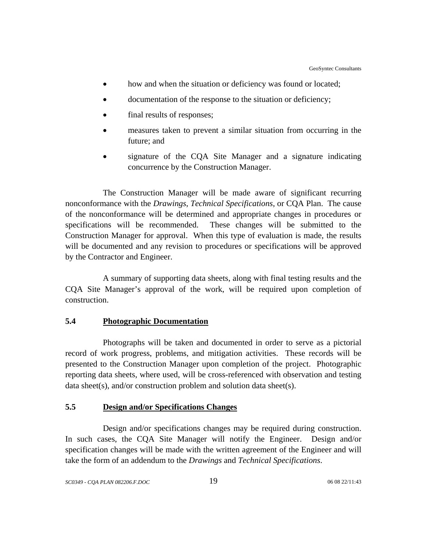- <span id="page-26-0"></span>• how and when the situation or deficiency was found or located;
- documentation of the response to the situation or deficiency;
- final results of responses;
- measures taken to prevent a similar situation from occurring in the future; and
- signature of the CQA Site Manager and a signature indicating concurrence by the Construction Manager.

The Construction Manager will be made aware of significant recurring nonconformance with the *Drawings*, *Technical Specifications*, or CQA Plan. The cause of the nonconformance will be determined and appropriate changes in procedures or specifications will be recommended. These changes will be submitted to the Construction Manager for approval. When this type of evaluation is made, the results will be documented and any revision to procedures or specifications will be approved by the Contractor and Engineer.

A summary of supporting data sheets, along with final testing results and the CQA Site Manager's approval of the work, will be required upon completion of construction.

#### **5.4 Photographic Documentation**

Photographs will be taken and documented in order to serve as a pictorial record of work progress, problems, and mitigation activities. These records will be presented to the Construction Manager upon completion of the project. Photographic reporting data sheets, where used, will be cross-referenced with observation and testing data sheet(s), and/or construction problem and solution data sheet(s).

## **5.5 Design and/or Specifications Changes**

Design and/or specifications changes may be required during construction. In such cases, the CQA Site Manager will notify the Engineer. Design and/or specification changes will be made with the written agreement of the Engineer and will take the form of an addendum to the *Drawings* and *Technical Specifications*.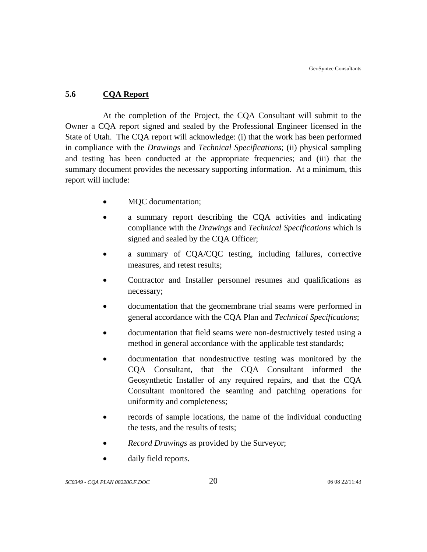## <span id="page-27-0"></span>**5.6 CQA Report**

At the completion of the Project, the CQA Consultant will submit to the Owner a CQA report signed and sealed by the Professional Engineer licensed in the State of Utah. The CQA report will acknowledge: (i) that the work has been performed in compliance with the *Drawings* and *Technical Specifications*; (ii) physical sampling and testing has been conducted at the appropriate frequencies; and (iii) that the summary document provides the necessary supporting information. At a minimum, this report will include:

- MQC documentation;
- a summary report describing the CQA activities and indicating compliance with the *Drawings* and *Technical Specifications* which is signed and sealed by the CQA Officer;
- a summary of CQA/CQC testing, including failures, corrective measures, and retest results;
- Contractor and Installer personnel resumes and qualifications as necessary;
- documentation that the geomembrane trial seams were performed in general accordance with the CQA Plan and *Technical Specifications*;
- documentation that field seams were non-destructively tested using a method in general accordance with the applicable test standards;
- documentation that nondestructive testing was monitored by the CQA Consultant, that the CQA Consultant informed the Geosynthetic Installer of any required repairs, and that the CQA Consultant monitored the seaming and patching operations for uniformity and completeness;
- records of sample locations, the name of the individual conducting the tests, and the results of tests;
- *Record Drawings* as provided by the Surveyor;
- daily field reports.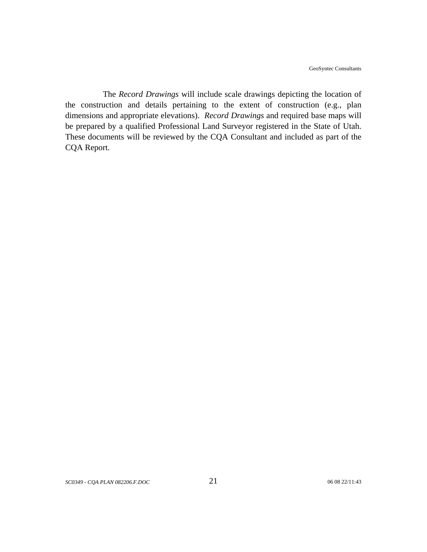The *Record Drawings* will include scale drawings depicting the location of the construction and details pertaining to the extent of construction (e.g., plan dimensions and appropriate elevations). *Record Drawings* and required base maps will be prepared by a qualified Professional Land Surveyor registered in the State of Utah. These documents will be reviewed by the CQA Consultant and included as part of the CQA Report.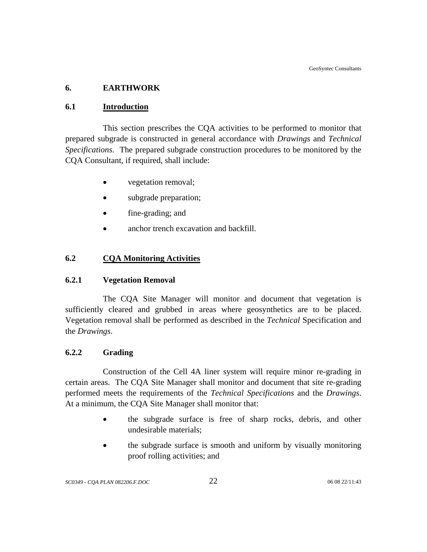## <span id="page-29-0"></span>**6. EARTHWORK**

## **6.1 Introduction**

This section prescribes the CQA activities to be performed to monitor that prepared subgrade is constructed in general accordance with *Drawings* and *Technical Specifications*. The prepared subgrade construction procedures to be monitored by the CQA Consultant, if required, shall include:

- vegetation removal;
- subgrade preparation;
- fine-grading; and
- anchor trench excavation and backfill.

## **6.2 CQA Monitoring Activities**

## **6.2.1 Vegetation Removal**

The CQA Site Manager will monitor and document that vegetation is sufficiently cleared and grubbed in areas where geosynthetics are to be placed. Vegetation removal shall be performed as described in the *Technical* Specification and the *Drawings*.

## **6.2.2 Grading**

 Construction of the Cell 4A liner system will require minor re-grading in certain areas. The CQA Site Manager shall monitor and document that site re-grading performed meets the requirements of the *Technical Specifications* and the *Drawings*. At a minimum, the CQA Site Manager shall monitor that:

- the subgrade surface is free of sharp rocks, debris, and other undesirable materials;
- the subgrade surface is smooth and uniform by visually monitoring proof rolling activities; and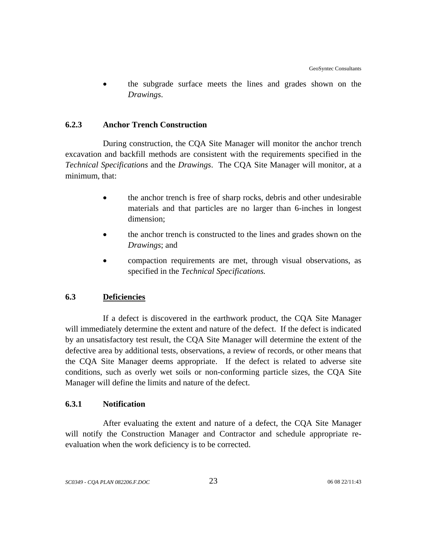<span id="page-30-0"></span>• the subgrade surface meets the lines and grades shown on the *Drawings*.

#### **6.2.3 Anchor Trench Construction**

During construction, the CQA Site Manager will monitor the anchor trench excavation and backfill methods are consistent with the requirements specified in the *Technical Specifications* and the *Drawings*. The CQA Site Manager will monitor, at a minimum, that:

- the anchor trench is free of sharp rocks, debris and other undesirable materials and that particles are no larger than 6-inches in longest dimension;
- the anchor trench is constructed to the lines and grades shown on the *Drawings*; and
- compaction requirements are met, through visual observations, as specified in the *Technical Specifications.*

## **6.3 Deficiencies**

If a defect is discovered in the earthwork product, the CQA Site Manager will immediately determine the extent and nature of the defect. If the defect is indicated by an unsatisfactory test result, the CQA Site Manager will determine the extent of the defective area by additional tests, observations, a review of records, or other means that the CQA Site Manager deems appropriate. If the defect is related to adverse site conditions, such as overly wet soils or non-conforming particle sizes, the CQA Site Manager will define the limits and nature of the defect.

## **6.3.1 Notification**

After evaluating the extent and nature of a defect, the CQA Site Manager will notify the Construction Manager and Contractor and schedule appropriate reevaluation when the work deficiency is to be corrected.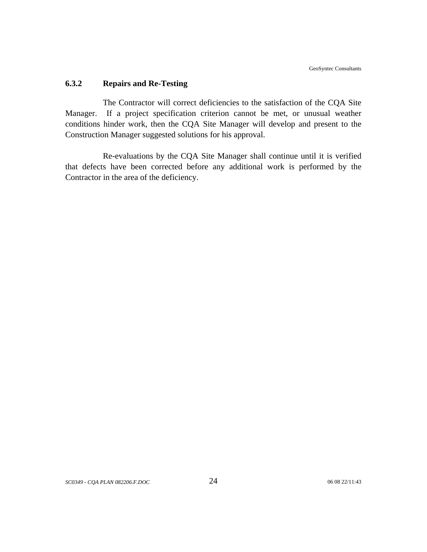#### <span id="page-31-0"></span>**6.3.2 Repairs and Re-Testing**

The Contractor will correct deficiencies to the satisfaction of the CQA Site Manager. If a project specification criterion cannot be met, or unusual weather conditions hinder work, then the CQA Site Manager will develop and present to the Construction Manager suggested solutions for his approval.

Re-evaluations by the CQA Site Manager shall continue until it is verified that defects have been corrected before any additional work is performed by the Contractor in the area of the deficiency.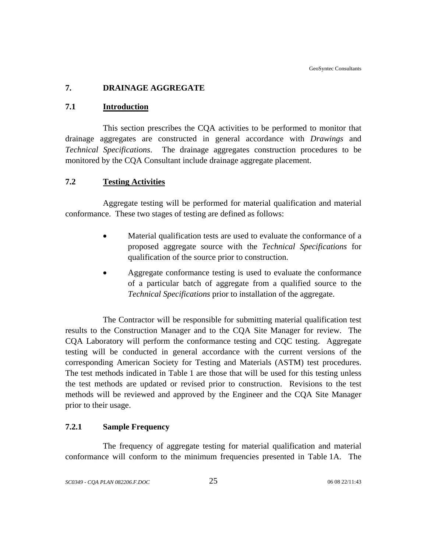## <span id="page-32-0"></span>**7. DRAINAGE AGGREGATE**

#### **7.1 Introduction**

This section prescribes the CQA activities to be performed to monitor that drainage aggregates are constructed in general accordance with *Drawings* and *Technical Specifications*. The drainage aggregates construction procedures to be monitored by the CQA Consultant include drainage aggregate placement.

## **7.2 Testing Activities**

Aggregate testing will be performed for material qualification and material conformance. These two stages of testing are defined as follows:

- Material qualification tests are used to evaluate the conformance of a proposed aggregate source with the *Technical Specifications* for qualification of the source prior to construction.
- Aggregate conformance testing is used to evaluate the conformance of a particular batch of aggregate from a qualified source to the *Technical Specifications* prior to installation of the aggregate.

The Contractor will be responsible for submitting material qualification test results to the Construction Manager and to the CQA Site Manager for review. The CQA Laboratory will perform the conformance testing and CQC testing. Aggregate testing will be conducted in general accordance with the current versions of the corresponding American Society for Testing and Materials (ASTM) test procedures. The test methods indicated in Table 1 are those that will be used for this testing unless the test methods are updated or revised prior to construction. Revisions to the test methods will be reviewed and approved by the Engineer and the CQA Site Manager prior to their usage.

## **7.2.1 Sample Frequency**

The frequency of aggregate testing for material qualification and material conformance will conform to the minimum frequencies presented in Table 1A. The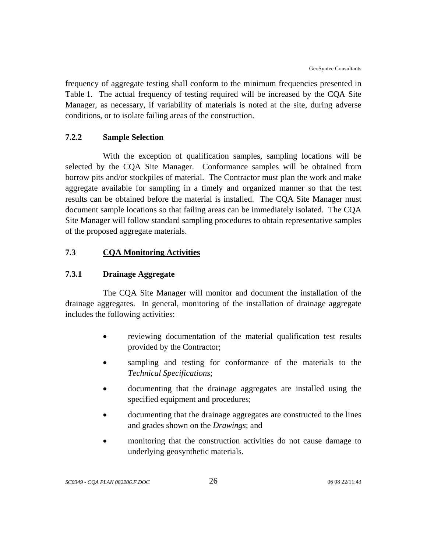<span id="page-33-0"></span>frequency of aggregate testing shall conform to the minimum frequencies presented in Table 1. The actual frequency of testing required will be increased by the CQA Site Manager, as necessary, if variability of materials is noted at the site, during adverse conditions, or to isolate failing areas of the construction.

#### **7.2.2 Sample Selection**

With the exception of qualification samples, sampling locations will be selected by the CQA Site Manager. Conformance samples will be obtained from borrow pits and/or stockpiles of material. The Contractor must plan the work and make aggregate available for sampling in a timely and organized manner so that the test results can be obtained before the material is installed. The CQA Site Manager must document sample locations so that failing areas can be immediately isolated. The CQA Site Manager will follow standard sampling procedures to obtain representative samples of the proposed aggregate materials.

## **7.3 CQA Monitoring Activities**

#### **7.3.1 Drainage Aggregate**

The CQA Site Manager will monitor and document the installation of the drainage aggregates. In general, monitoring of the installation of drainage aggregate includes the following activities:

- reviewing documentation of the material qualification test results provided by the Contractor;
- sampling and testing for conformance of the materials to the *Technical Specifications*;
- documenting that the drainage aggregates are installed using the specified equipment and procedures;
- documenting that the drainage aggregates are constructed to the lines and grades shown on the *Drawings*; and
- monitoring that the construction activities do not cause damage to underlying geosynthetic materials.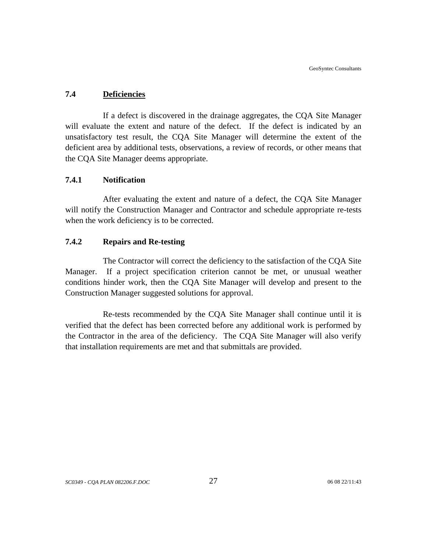#### <span id="page-34-0"></span>**7.4 Deficiencies**

If a defect is discovered in the drainage aggregates, the CQA Site Manager will evaluate the extent and nature of the defect. If the defect is indicated by an unsatisfactory test result, the CQA Site Manager will determine the extent of the deficient area by additional tests, observations, a review of records, or other means that the CQA Site Manager deems appropriate.

## **7.4.1 Notification**

After evaluating the extent and nature of a defect, the CQA Site Manager will notify the Construction Manager and Contractor and schedule appropriate re-tests when the work deficiency is to be corrected.

#### **7.4.2 Repairs and Re-testing**

The Contractor will correct the deficiency to the satisfaction of the CQA Site Manager. If a project specification criterion cannot be met, or unusual weather conditions hinder work, then the CQA Site Manager will develop and present to the Construction Manager suggested solutions for approval.

Re-tests recommended by the CQA Site Manager shall continue until it is verified that the defect has been corrected before any additional work is performed by the Contractor in the area of the deficiency. The CQA Site Manager will also verify that installation requirements are met and that submittals are provided.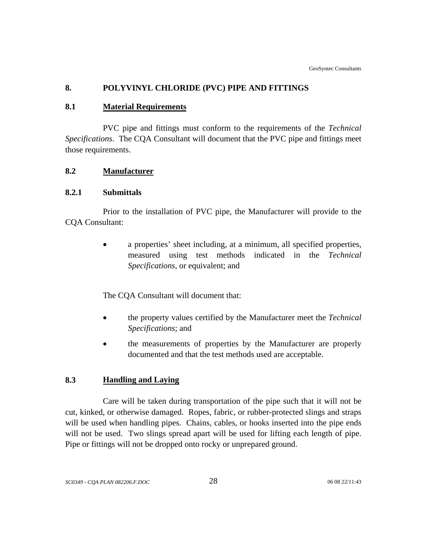## <span id="page-35-0"></span>**8. POLYVINYL CHLORIDE (PVC) PIPE AND FITTINGS**

#### **8.1 Material Requirements**

PVC pipe and fittings must conform to the requirements of the *Technical Specifications*. The CQA Consultant will document that the PVC pipe and fittings meet those requirements.

#### **8.2 Manufacturer**

#### **8.2.1 Submittals**

Prior to the installation of PVC pipe, the Manufacturer will provide to the CQA Consultant:

> • a properties' sheet including, at a minimum, all specified properties, measured using test methods indicated in the *Technical Specifications*, or equivalent; and

The CQA Consultant will document that:

- the property values certified by the Manufacturer meet the *Technical Specifications*; and
- the measurements of properties by the Manufacturer are properly documented and that the test methods used are acceptable.

## **8.3 Handling and Laying**

Care will be taken during transportation of the pipe such that it will not be cut, kinked, or otherwise damaged. Ropes, fabric, or rubber-protected slings and straps will be used when handling pipes. Chains, cables, or hooks inserted into the pipe ends will not be used. Two slings spread apart will be used for lifting each length of pipe. Pipe or fittings will not be dropped onto rocky or unprepared ground.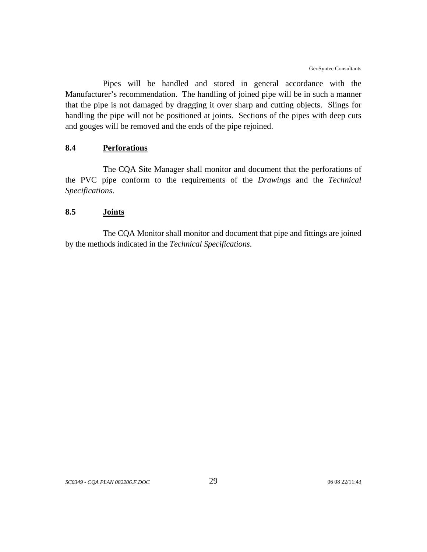Pipes will be handled and stored in general accordance with the Manufacturer's recommendation. The handling of joined pipe will be in such a manner that the pipe is not damaged by dragging it over sharp and cutting objects. Slings for handling the pipe will not be positioned at joints. Sections of the pipes with deep cuts and gouges will be removed and the ends of the pipe rejoined.

# **8.4 Perforations**

The CQA Site Manager shall monitor and document that the perforations of the PVC pipe conform to the requirements of the *Drawings* and the *Technical Specifications*.

### **8.5 Joints**

The CQA Monitor shall monitor and document that pipe and fittings are joined by the methods indicated in the *Technical Specifications*.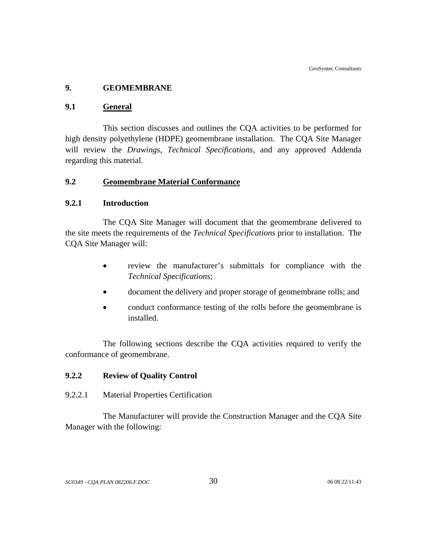# **9. GEOMEMBRANE**

### **9.1 General**

This section discusses and outlines the CQA activities to be performed for high density polyethylene (HDPE) geomembrane installation. The CQA Site Manager will review the *Drawings*, *Technical Specifications,* and any approved Addenda regarding this material.

# **9.2 Geomembrane Material Conformance**

### **9.2.1 Introduction**

The CQA Site Manager will document that the geomembrane delivered to the site meets the requirements of the *Technical Specifications* prior to installation. The CQA Site Manager will:

- review the manufacturer's submittals for compliance with the *Technical Specifications*;
- document the delivery and proper storage of geomembrane rolls; and
- conduct conformance testing of the rolls before the geomembrane is installed.

The following sections describe the CQA activities required to verify the conformance of geomembrane.

# **9.2.2 Review of Quality Control**

9.2.2.1 Material Properties Certification

The Manufacturer will provide the Construction Manager and the CQA Site Manager with the following: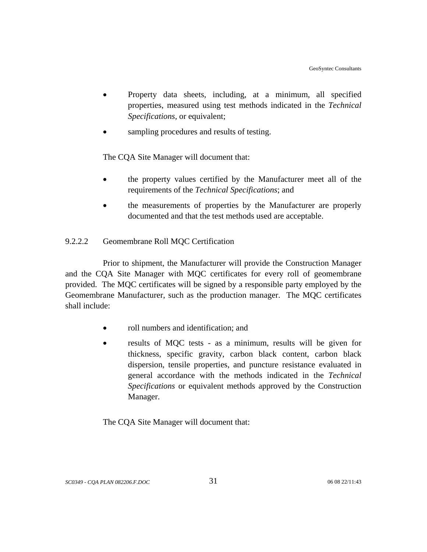- Property data sheets, including, at a minimum, all specified properties, measured using test methods indicated in the *Technical Specifications*, or equivalent;
- sampling procedures and results of testing.

The CQA Site Manager will document that:

- the property values certified by the Manufacturer meet all of the requirements of the *Technical Specifications*; and
- the measurements of properties by the Manufacturer are properly documented and that the test methods used are acceptable.

# 9.2.2.2 Geomembrane Roll MQC Certification

Prior to shipment, the Manufacturer will provide the Construction Manager and the CQA Site Manager with MQC certificates for every roll of geomembrane provided. The MQC certificates will be signed by a responsible party employed by the Geomembrane Manufacturer, such as the production manager. The MQC certificates shall include:

- roll numbers and identification; and
- results of MQC tests as a minimum, results will be given for thickness, specific gravity, carbon black content, carbon black dispersion, tensile properties, and puncture resistance evaluated in general accordance with the methods indicated in the *Technical Specifications* or equivalent methods approved by the Construction Manager.

The CQA Site Manager will document that: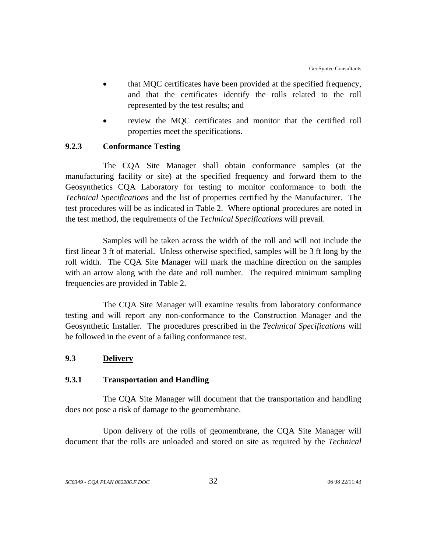- that MQC certificates have been provided at the specified frequency, and that the certificates identify the rolls related to the roll represented by the test results; and
- review the MOC certificates and monitor that the certified roll properties meet the specifications.

# **9.2.3 Conformance Testing**

The CQA Site Manager shall obtain conformance samples (at the manufacturing facility or site) at the specified frequency and forward them to the Geosynthetics CQA Laboratory for testing to monitor conformance to both the *Technical Specifications* and the list of properties certified by the Manufacturer. The test procedures will be as indicated in Table 2. Where optional procedures are noted in the test method, the requirements of the *Technical Specifications* will prevail.

Samples will be taken across the width of the roll and will not include the first linear 3 ft of material. Unless otherwise specified, samples will be 3 ft long by the roll width. The CQA Site Manager will mark the machine direction on the samples with an arrow along with the date and roll number. The required minimum sampling frequencies are provided in Table 2.

The CQA Site Manager will examine results from laboratory conformance testing and will report any non-conformance to the Construction Manager and the Geosynthetic Installer. The procedures prescribed in the *Technical Specifications* will be followed in the event of a failing conformance test.

# **9.3 Delivery**

### **9.3.1 Transportation and Handling**

The CQA Site Manager will document that the transportation and handling does not pose a risk of damage to the geomembrane.

Upon delivery of the rolls of geomembrane, the CQA Site Manager will document that the rolls are unloaded and stored on site as required by the *Technical*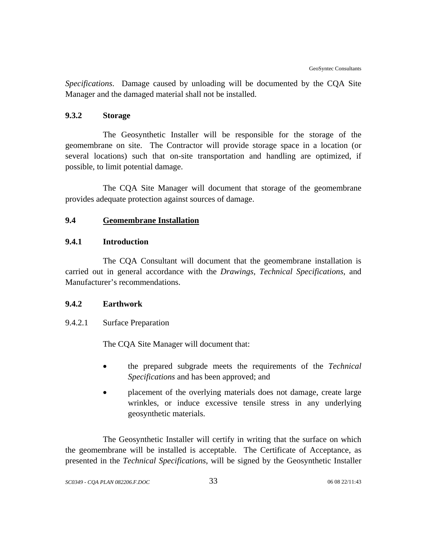*Specifications*. Damage caused by unloading will be documented by the CQA Site Manager and the damaged material shall not be installed.

# **9.3.2 Storage**

The Geosynthetic Installer will be responsible for the storage of the geomembrane on site. The Contractor will provide storage space in a location (or several locations) such that on-site transportation and handling are optimized, if possible, to limit potential damage.

The CQA Site Manager will document that storage of the geomembrane provides adequate protection against sources of damage.

# **9.4 Geomembrane Installation**

# **9.4.1 Introduction**

The CQA Consultant will document that the geomembrane installation is carried out in general accordance with the *Drawings, Technical Specifications,* and Manufacturer's recommendations.

# **9.4.2 Earthwork**

### 9.4.2.1 Surface Preparation

The CQA Site Manager will document that:

- the prepared subgrade meets the requirements of the *Technical Specifications* and has been approved; and
- placement of the overlying materials does not damage, create large wrinkles, or induce excessive tensile stress in any underlying geosynthetic materials.

The Geosynthetic Installer will certify in writing that the surface on which the geomembrane will be installed is acceptable. The Certificate of Acceptance, as presented in the *Technical Specifications*, will be signed by the Geosynthetic Installer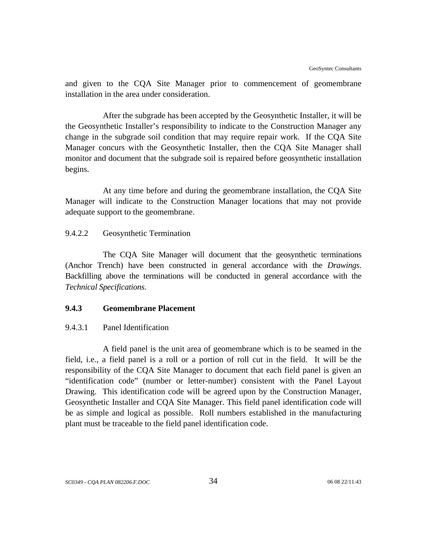and given to the CQA Site Manager prior to commencement of geomembrane installation in the area under consideration.

After the subgrade has been accepted by the Geosynthetic Installer, it will be the Geosynthetic Installer's responsibility to indicate to the Construction Manager any change in the subgrade soil condition that may require repair work. If the CQA Site Manager concurs with the Geosynthetic Installer, then the CQA Site Manager shall monitor and document that the subgrade soil is repaired before geosynthetic installation begins.

At any time before and during the geomembrane installation, the CQA Site Manager will indicate to the Construction Manager locations that may not provide adequate support to the geomembrane.

# 9.4.2.2 Geosynthetic Termination

The CQA Site Manager will document that the geosynthetic terminations (Anchor Trench) have been constructed in general accordance with the *Drawings*. Backfilling above the terminations will be conducted in general accordance with the *Technical Specifications*.

# **9.4.3 Geomembrane Placement**

### 9.4.3.1 Panel Identification

A field panel is the unit area of geomembrane which is to be seamed in the field, i.e., a field panel is a roll or a portion of roll cut in the field. It will be the responsibility of the CQA Site Manager to document that each field panel is given an "identification code" (number or letter-number) consistent with the Panel Layout Drawing. This identification code will be agreed upon by the Construction Manager, Geosynthetic Installer and CQA Site Manager. This field panel identification code will be as simple and logical as possible. Roll numbers established in the manufacturing plant must be traceable to the field panel identification code.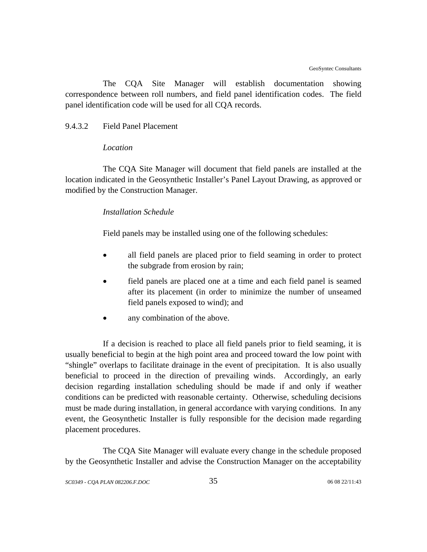The CQA Site Manager will establish documentation showing correspondence between roll numbers, and field panel identification codes. The field panel identification code will be used for all CQA records.

### 9.4.3.2 Field Panel Placement

#### *Location*

The CQA Site Manager will document that field panels are installed at the location indicated in the Geosynthetic Installer's Panel Layout Drawing, as approved or modified by the Construction Manager.

#### *Installation Schedule*

Field panels may be installed using one of the following schedules:

- all field panels are placed prior to field seaming in order to protect the subgrade from erosion by rain;
- field panels are placed one at a time and each field panel is seamed after its placement (in order to minimize the number of unseamed field panels exposed to wind); and
- any combination of the above.

If a decision is reached to place all field panels prior to field seaming, it is usually beneficial to begin at the high point area and proceed toward the low point with "shingle" overlaps to facilitate drainage in the event of precipitation. It is also usually beneficial to proceed in the direction of prevailing winds. Accordingly, an early decision regarding installation scheduling should be made if and only if weather conditions can be predicted with reasonable certainty. Otherwise, scheduling decisions must be made during installation, in general accordance with varying conditions. In any event, the Geosynthetic Installer is fully responsible for the decision made regarding placement procedures.

The CQA Site Manager will evaluate every change in the schedule proposed by the Geosynthetic Installer and advise the Construction Manager on the acceptability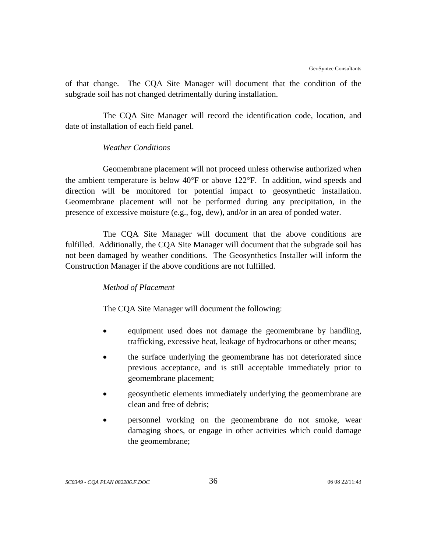of that change. The CQA Site Manager will document that the condition of the subgrade soil has not changed detrimentally during installation.

The CQA Site Manager will record the identification code, location, and date of installation of each field panel.

# *Weather Conditions*

Geomembrane placement will not proceed unless otherwise authorized when the ambient temperature is below 40°F or above 122°F. In addition, wind speeds and direction will be monitored for potential impact to geosynthetic installation. Geomembrane placement will not be performed during any precipitation, in the presence of excessive moisture (e.g., fog, dew), and/or in an area of ponded water.

The CQA Site Manager will document that the above conditions are fulfilled. Additionally, the CQA Site Manager will document that the subgrade soil has not been damaged by weather conditions. The Geosynthetics Installer will inform the Construction Manager if the above conditions are not fulfilled.

### *Method of Placement*

The CQA Site Manager will document the following:

- equipment used does not damage the geomembrane by handling, trafficking, excessive heat, leakage of hydrocarbons or other means;
- the surface underlying the geomembrane has not deteriorated since previous acceptance, and is still acceptable immediately prior to geomembrane placement;
- geosynthetic elements immediately underlying the geomembrane are clean and free of debris;
- personnel working on the geomembrane do not smoke, wear damaging shoes, or engage in other activities which could damage the geomembrane;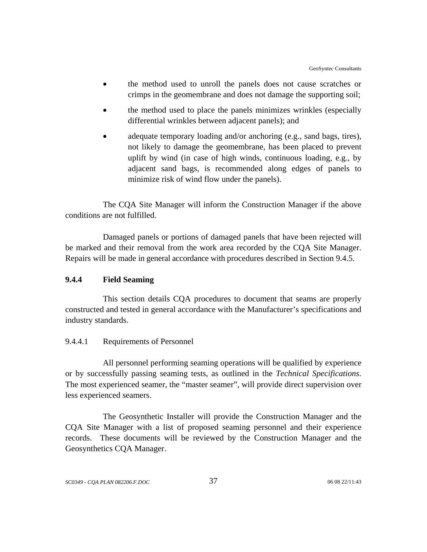- the method used to unroll the panels does not cause scratches or crimps in the geomembrane and does not damage the supporting soil;
- the method used to place the panels minimizes wrinkles (especially differential wrinkles between adjacent panels); and
- adequate temporary loading and/or anchoring (e.g., sand bags, tires), not likely to damage the geomembrane, has been placed to prevent uplift by wind (in case of high winds, continuous loading, e.g., by adjacent sand bags, is recommended along edges of panels to minimize risk of wind flow under the panels).

The CQA Site Manager will inform the Construction Manager if the above conditions are not fulfilled.

Damaged panels or portions of damaged panels that have been rejected will be marked and their removal from the work area recorded by the CQA Site Manager. Repairs will be made in general accordance with procedures described in Section 9.4.5.

# **9.4.4 Field Seaming**

This section details CQA procedures to document that seams are properly constructed and tested in general accordance with the Manufacturer's specifications and industry standards.

# 9.4.4.1 Requirements of Personnel

All personnel performing seaming operations will be qualified by experience or by successfully passing seaming tests, as outlined in the *Technical Specifications*. The most experienced seamer, the "master seamer", will provide direct supervision over less experienced seamers.

The Geosynthetic Installer will provide the Construction Manager and the CQA Site Manager with a list of proposed seaming personnel and their experience records. These documents will be reviewed by the Construction Manager and the Geosynthetics CQA Manager.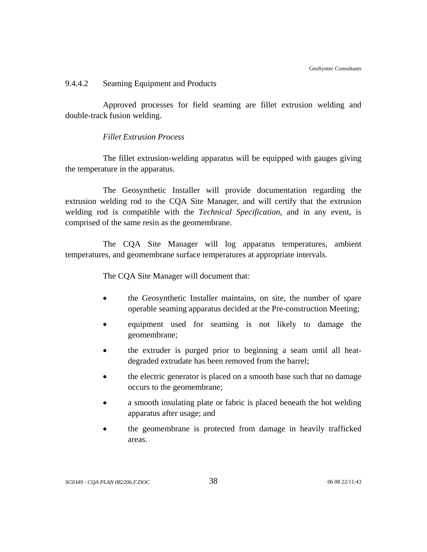#### 9.4.4.2 Seaming Equipment and Products

Approved processes for field seaming are fillet extrusion welding and double-track fusion welding.

#### *Fillet Extrusion Process*

The fillet extrusion-welding apparatus will be equipped with gauges giving the temperature in the apparatus.

The Geosynthetic Installer will provide documentation regarding the extrusion welding rod to the CQA Site Manager, and will certify that the extrusion welding rod is compatible with the *Technical Specification*, and in any event, is comprised of the same resin as the geomembrane.

The CQA Site Manager will log apparatus temperatures, ambient temperatures, and geomembrane surface temperatures at appropriate intervals.

The CQA Site Manager will document that:

- the Geosynthetic Installer maintains, on site, the number of spare operable seaming apparatus decided at the Pre-construction Meeting;
- equipment used for seaming is not likely to damage the geomembrane;
- the extruder is purged prior to beginning a seam until all heatdegraded extrudate has been removed from the barrel;
- the electric generator is placed on a smooth base such that no damage occurs to the geomembrane;
- a smooth insulating plate or fabric is placed beneath the hot welding apparatus after usage; and
- the geomembrane is protected from damage in heavily trafficked areas.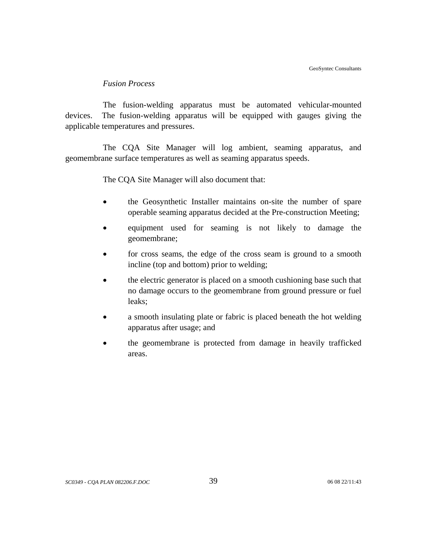### *Fusion Process*

The fusion-welding apparatus must be automated vehicular-mounted devices. The fusion-welding apparatus will be equipped with gauges giving the applicable temperatures and pressures.

The CQA Site Manager will log ambient, seaming apparatus, and geomembrane surface temperatures as well as seaming apparatus speeds.

The CQA Site Manager will also document that:

- the Geosynthetic Installer maintains on-site the number of spare operable seaming apparatus decided at the Pre-construction Meeting;
- equipment used for seaming is not likely to damage the geomembrane;
- for cross seams, the edge of the cross seam is ground to a smooth incline (top and bottom) prior to welding;
- the electric generator is placed on a smooth cushioning base such that no damage occurs to the geomembrane from ground pressure or fuel leaks;
- a smooth insulating plate or fabric is placed beneath the hot welding apparatus after usage; and
- the geomembrane is protected from damage in heavily trafficked areas.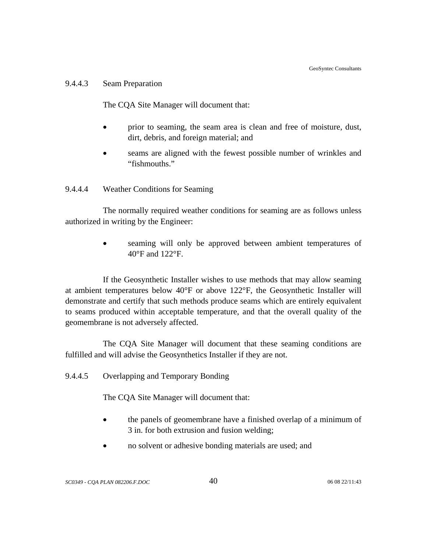#### 9.4.4.3 Seam Preparation

The CQA Site Manager will document that:

- prior to seaming, the seam area is clean and free of moisture, dust, dirt, debris, and foreign material; and
- seams are aligned with the fewest possible number of wrinkles and "fishmouths."

# 9.4.4.4 Weather Conditions for Seaming

The normally required weather conditions for seaming are as follows unless authorized in writing by the Engineer:

> seaming will only be approved between ambient temperatures of 40°F and 122°F.

If the Geosynthetic Installer wishes to use methods that may allow seaming at ambient temperatures below 40°F or above 122°F, the Geosynthetic Installer will demonstrate and certify that such methods produce seams which are entirely equivalent to seams produced within acceptable temperature, and that the overall quality of the geomembrane is not adversely affected.

The CQA Site Manager will document that these seaming conditions are fulfilled and will advise the Geosynthetics Installer if they are not.

9.4.4.5 Overlapping and Temporary Bonding

The CQA Site Manager will document that:

- the panels of geomembrane have a finished overlap of a minimum of 3 in. for both extrusion and fusion welding;
- no solvent or adhesive bonding materials are used; and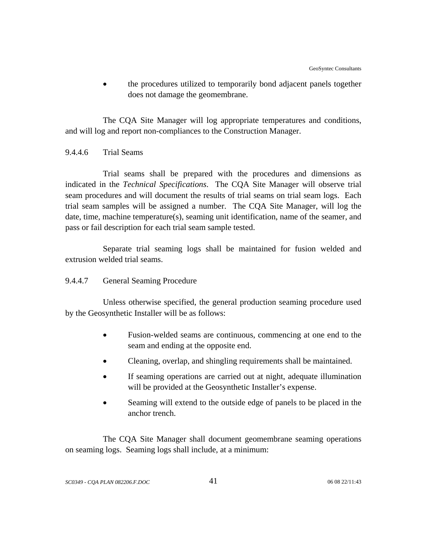• the procedures utilized to temporarily bond adjacent panels together does not damage the geomembrane.

The CQA Site Manager will log appropriate temperatures and conditions, and will log and report non-compliances to the Construction Manager.

# 9.4.4.6 Trial Seams

Trial seams shall be prepared with the procedures and dimensions as indicated in the *Technical Specifications*. The CQA Site Manager will observe trial seam procedures and will document the results of trial seams on trial seam logs. Each trial seam samples will be assigned a number. The CQA Site Manager, will log the date, time, machine temperature(s), seaming unit identification, name of the seamer, and pass or fail description for each trial seam sample tested.

Separate trial seaming logs shall be maintained for fusion welded and extrusion welded trial seams.

# 9.4.4.7 General Seaming Procedure

Unless otherwise specified, the general production seaming procedure used by the Geosynthetic Installer will be as follows:

- Fusion-welded seams are continuous, commencing at one end to the seam and ending at the opposite end.
- Cleaning, overlap, and shingling requirements shall be maintained.
- If seaming operations are carried out at night, adequate illumination will be provided at the Geosynthetic Installer's expense.
- Seaming will extend to the outside edge of panels to be placed in the anchor trench.

The CQA Site Manager shall document geomembrane seaming operations on seaming logs. Seaming logs shall include, at a minimum: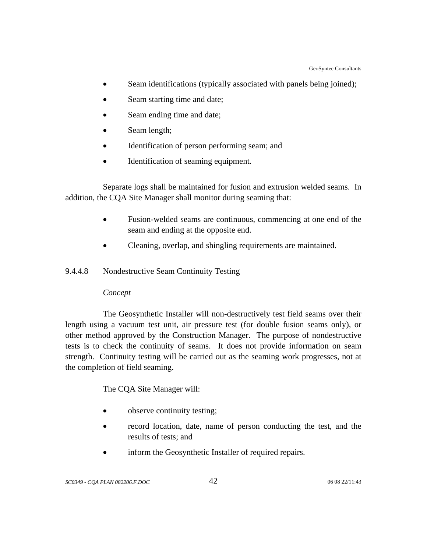- Seam identifications (typically associated with panels being joined);
- Seam starting time and date;
- Seam ending time and date;
- Seam length;
- Identification of person performing seam; and
- Identification of seaming equipment.

 Separate logs shall be maintained for fusion and extrusion welded seams. In addition, the CQA Site Manager shall monitor during seaming that:

- Fusion-welded seams are continuous, commencing at one end of the seam and ending at the opposite end.
- Cleaning, overlap, and shingling requirements are maintained.
- 9.4.4.8 Nondestructive Seam Continuity Testing

# *Concept*

The Geosynthetic Installer will non-destructively test field seams over their length using a vacuum test unit, air pressure test (for double fusion seams only), or other method approved by the Construction Manager. The purpose of nondestructive tests is to check the continuity of seams. It does not provide information on seam strength. Continuity testing will be carried out as the seaming work progresses, not at the completion of field seaming.

The CQA Site Manager will:

- observe continuity testing;
- record location, date, name of person conducting the test, and the results of tests; and
- inform the Geosynthetic Installer of required repairs.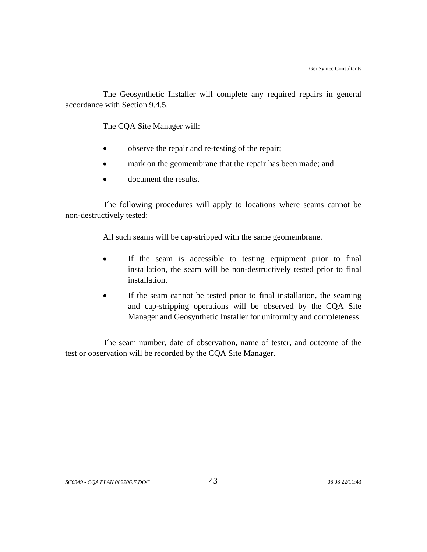The Geosynthetic Installer will complete any required repairs in general accordance with Section 9.4.5.

The CQA Site Manager will:

- observe the repair and re-testing of the repair;
- mark on the geomembrane that the repair has been made; and
- document the results.

The following procedures will apply to locations where seams cannot be non-destructively tested:

All such seams will be cap-stripped with the same geomembrane.

- If the seam is accessible to testing equipment prior to final installation, the seam will be non-destructively tested prior to final installation.
- If the seam cannot be tested prior to final installation, the seaming and cap-stripping operations will be observed by the CQA Site Manager and Geosynthetic Installer for uniformity and completeness.

The seam number, date of observation, name of tester, and outcome of the test or observation will be recorded by the CQA Site Manager.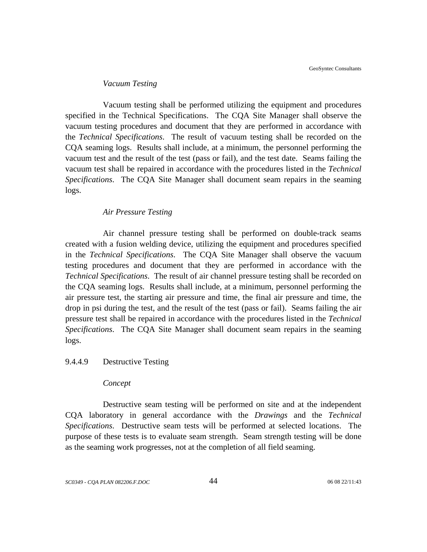#### *Vacuum Testing*

Vacuum testing shall be performed utilizing the equipment and procedures specified in the Technical Specifications. The CQA Site Manager shall observe the vacuum testing procedures and document that they are performed in accordance with the *Technical Specifications*. The result of vacuum testing shall be recorded on the CQA seaming logs. Results shall include, at a minimum, the personnel performing the vacuum test and the result of the test (pass or fail), and the test date. Seams failing the vacuum test shall be repaired in accordance with the procedures listed in the *Technical Specifications*. The CQA Site Manager shall document seam repairs in the seaming logs.

#### *Air Pressure Testing*

Air channel pressure testing shall be performed on double-track seams created with a fusion welding device, utilizing the equipment and procedures specified in the *Technical Specifications*. The CQA Site Manager shall observe the vacuum testing procedures and document that they are performed in accordance with the *Technical Specifications*. The result of air channel pressure testing shall be recorded on the CQA seaming logs. Results shall include, at a minimum, personnel performing the air pressure test, the starting air pressure and time, the final air pressure and time, the drop in psi during the test, and the result of the test (pass or fail). Seams failing the air pressure test shall be repaired in accordance with the procedures listed in the *Technical Specifications*. The CQA Site Manager shall document seam repairs in the seaming logs.

#### 9.4.4.9 Destructive Testing

#### *Concept*

Destructive seam testing will be performed on site and at the independent CQA laboratory in general accordance with the *Drawings* and the *Technical Specifications*. Destructive seam tests will be performed at selected locations. The purpose of these tests is to evaluate seam strength. Seam strength testing will be done as the seaming work progresses, not at the completion of all field seaming.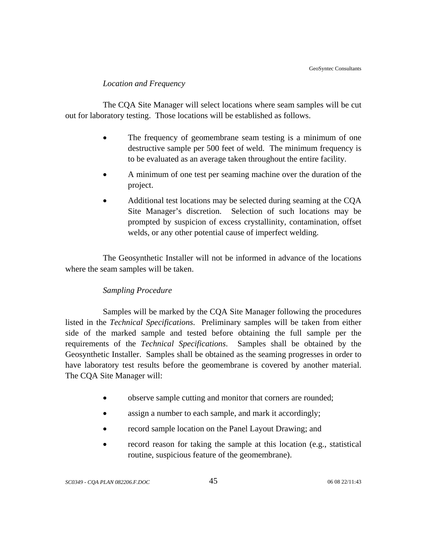### *Location and Frequency*

The CQA Site Manager will select locations where seam samples will be cut out for laboratory testing. Those locations will be established as follows.

- The frequency of geomembrane seam testing is a minimum of one destructive sample per 500 feet of weld. The minimum frequency is to be evaluated as an average taken throughout the entire facility.
- A minimum of one test per seaming machine over the duration of the project.
- Additional test locations may be selected during seaming at the CQA Site Manager's discretion. Selection of such locations may be prompted by suspicion of excess crystallinity, contamination, offset welds, or any other potential cause of imperfect welding.

The Geosynthetic Installer will not be informed in advance of the locations where the seam samples will be taken.

# *Sampling Procedure*

Samples will be marked by the CQA Site Manager following the procedures listed in the *Technical Specifications*. Preliminary samples will be taken from either side of the marked sample and tested before obtaining the full sample per the requirements of the *Technical Specifications*. Samples shall be obtained by the Geosynthetic Installer. Samples shall be obtained as the seaming progresses in order to have laboratory test results before the geomembrane is covered by another material. The CQA Site Manager will:

- observe sample cutting and monitor that corners are rounded;
- assign a number to each sample, and mark it accordingly;
- record sample location on the Panel Layout Drawing; and
- record reason for taking the sample at this location (e.g., statistical routine, suspicious feature of the geomembrane).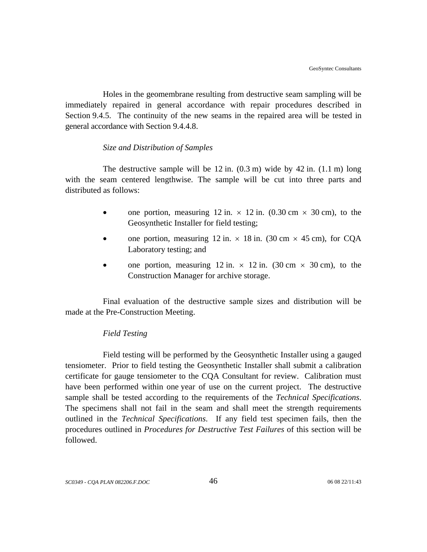Holes in the geomembrane resulting from destructive seam sampling will be immediately repaired in general accordance with repair procedures described in Section 9.4.5. The continuity of the new seams in the repaired area will be tested in general accordance with Section 9.4.4.8.

# *Size and Distribution of Samples*

The destructive sample will be  $12$  in.  $(0.3 \text{ m})$  wide by  $42$  in.  $(1.1 \text{ m})$  long with the seam centered lengthwise. The sample will be cut into three parts and distributed as follows:

- one portion, measuring 12 in.  $\times$  12 in. (0.30 cm  $\times$  30 cm), to the Geosynthetic Installer for field testing;
- one portion, measuring 12 in.  $\times$  18 in. (30 cm  $\times$  45 cm), for CQA Laboratory testing; and
- one portion, measuring 12 in.  $\times$  12 in. (30 cm  $\times$  30 cm), to the Construction Manager for archive storage.

Final evaluation of the destructive sample sizes and distribution will be made at the Pre-Construction Meeting.

# *Field Testing*

Field testing will be performed by the Geosynthetic Installer using a gauged tensiometer. Prior to field testing the Geosynthetic Installer shall submit a calibration certificate for gauge tensiometer to the CQA Consultant for review. Calibration must have been performed within one year of use on the current project. The destructive sample shall be tested according to the requirements of the *Technical Specifications*. The specimens shall not fail in the seam and shall meet the strength requirements outlined in the *Technical Specifications*. If any field test specimen fails, then the procedures outlined in *Procedures for Destructive Test Failures* of this section will be followed.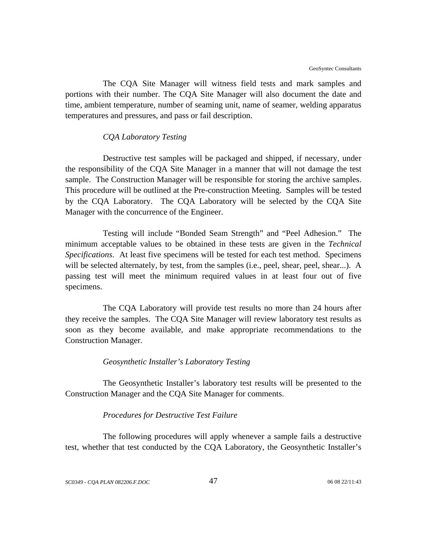The CQA Site Manager will witness field tests and mark samples and portions with their number. The CQA Site Manager will also document the date and time, ambient temperature, number of seaming unit, name of seamer, welding apparatus temperatures and pressures, and pass or fail description.

#### *CQA Laboratory Testing*

Destructive test samples will be packaged and shipped, if necessary, under the responsibility of the CQA Site Manager in a manner that will not damage the test sample. The Construction Manager will be responsible for storing the archive samples. This procedure will be outlined at the Pre-construction Meeting. Samples will be tested by the CQA Laboratory. The CQA Laboratory will be selected by the CQA Site Manager with the concurrence of the Engineer.

Testing will include "Bonded Seam Strength" and "Peel Adhesion." The minimum acceptable values to be obtained in these tests are given in the *Technical Specifications*. At least five specimens will be tested for each test method. Specimens will be selected alternately, by test, from the samples (i.e., peel, shear, peel, shear...). A passing test will meet the minimum required values in at least four out of five specimens.

The CQA Laboratory will provide test results no more than 24 hours after they receive the samples. The CQA Site Manager will review laboratory test results as soon as they become available, and make appropriate recommendations to the Construction Manager.

#### *Geosynthetic Installer's Laboratory Testing*

The Geosynthetic Installer's laboratory test results will be presented to the Construction Manager and the CQA Site Manager for comments.

### *Procedures for Destructive Test Failure*

The following procedures will apply whenever a sample fails a destructive test, whether that test conducted by the CQA Laboratory, the Geosynthetic Installer's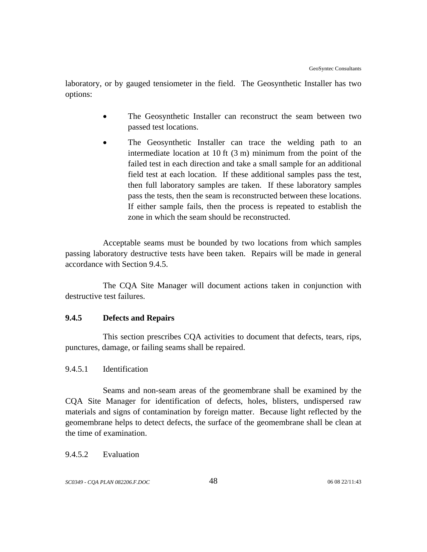laboratory, or by gauged tensiometer in the field. The Geosynthetic Installer has two options:

- The Geosynthetic Installer can reconstruct the seam between two passed test locations.
- The Geosynthetic Installer can trace the welding path to an intermediate location at 10 ft (3 m) minimum from the point of the failed test in each direction and take a small sample for an additional field test at each location. If these additional samples pass the test, then full laboratory samples are taken. If these laboratory samples pass the tests, then the seam is reconstructed between these locations. If either sample fails, then the process is repeated to establish the zone in which the seam should be reconstructed.

Acceptable seams must be bounded by two locations from which samples passing laboratory destructive tests have been taken. Repairs will be made in general accordance with Section 9.4.5.

The CQA Site Manager will document actions taken in conjunction with destructive test failures.

# **9.4.5 Defects and Repairs**

This section prescribes CQA activities to document that defects, tears, rips, punctures, damage, or failing seams shall be repaired.

# 9.4.5.1 Identification

Seams and non-seam areas of the geomembrane shall be examined by the CQA Site Manager for identification of defects, holes, blisters, undispersed raw materials and signs of contamination by foreign matter. Because light reflected by the geomembrane helps to detect defects, the surface of the geomembrane shall be clean at the time of examination.

# 9.4.5.2 Evaluation

*SC0349 - CQA PLAN 082206.F.DOC* 48 06 08 22/11:43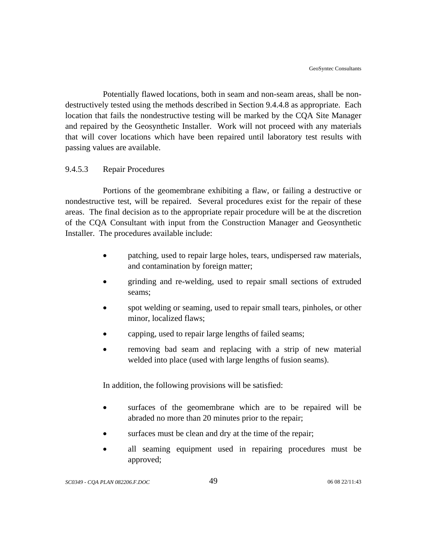Potentially flawed locations, both in seam and non-seam areas, shall be nondestructively tested using the methods described in Section 9.4.4.8 as appropriate. Each location that fails the nondestructive testing will be marked by the CQA Site Manager and repaired by the Geosynthetic Installer. Work will not proceed with any materials that will cover locations which have been repaired until laboratory test results with passing values are available.

### 9.4.5.3 Repair Procedures

Portions of the geomembrane exhibiting a flaw, or failing a destructive or nondestructive test, will be repaired. Several procedures exist for the repair of these areas. The final decision as to the appropriate repair procedure will be at the discretion of the CQA Consultant with input from the Construction Manager and Geosynthetic Installer. The procedures available include:

- patching, used to repair large holes, tears, undispersed raw materials, and contamination by foreign matter;
- grinding and re-welding, used to repair small sections of extruded seams;
- spot welding or seaming, used to repair small tears, pinholes, or other minor, localized flaws;
- capping, used to repair large lengths of failed seams;
- removing bad seam and replacing with a strip of new material welded into place (used with large lengths of fusion seams).

In addition, the following provisions will be satisfied:

- surfaces of the geomembrane which are to be repaired will be abraded no more than 20 minutes prior to the repair;
- surfaces must be clean and dry at the time of the repair;
- all seaming equipment used in repairing procedures must be approved;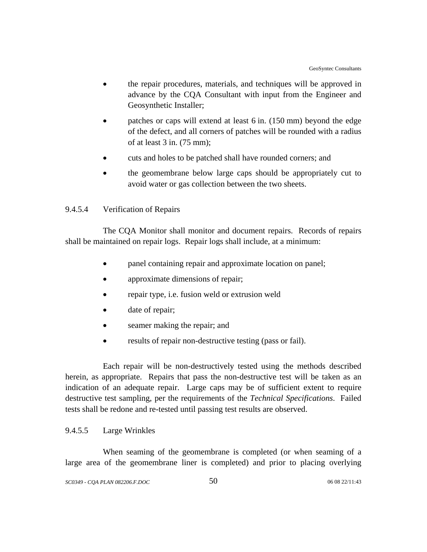- the repair procedures, materials, and techniques will be approved in advance by the CQA Consultant with input from the Engineer and Geosynthetic Installer;
- patches or caps will extend at least 6 in. (150 mm) beyond the edge of the defect, and all corners of patches will be rounded with a radius of at least 3 in. (75 mm);
- cuts and holes to be patched shall have rounded corners; and
- the geomembrane below large caps should be appropriately cut to avoid water or gas collection between the two sheets.

# 9.4.5.4 Verification of Repairs

The CQA Monitor shall monitor and document repairs. Records of repairs shall be maintained on repair logs. Repair logs shall include, at a minimum:

- panel containing repair and approximate location on panel;
- approximate dimensions of repair;
- repair type, i.e. fusion weld or extrusion weld
- date of repair;
- seamer making the repair; and
- results of repair non-destructive testing (pass or fail).

Each repair will be non-destructively tested using the methods described herein, as appropriate. Repairs that pass the non-destructive test will be taken as an indication of an adequate repair. Large caps may be of sufficient extent to require destructive test sampling, per the requirements of the *Technical Specifications*. Failed tests shall be redone and re-tested until passing test results are observed.

# 9.4.5.5 Large Wrinkles

When seaming of the geomembrane is completed (or when seaming of a large area of the geomembrane liner is completed) and prior to placing overlying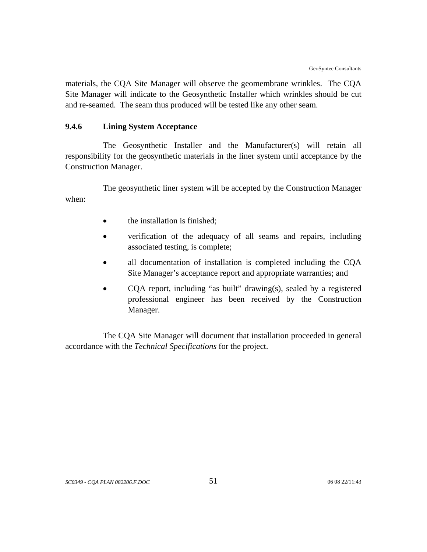materials, the CQA Site Manager will observe the geomembrane wrinkles. The CQA Site Manager will indicate to the Geosynthetic Installer which wrinkles should be cut and re-seamed. The seam thus produced will be tested like any other seam.

# **9.4.6 Lining System Acceptance**

The Geosynthetic Installer and the Manufacturer(s) will retain all responsibility for the geosynthetic materials in the liner system until acceptance by the Construction Manager.

The geosynthetic liner system will be accepted by the Construction Manager when:

- the installation is finished;
- verification of the adequacy of all seams and repairs, including associated testing, is complete;
- all documentation of installation is completed including the CQA Site Manager's acceptance report and appropriate warranties; and
- COA report, including "as built" drawing(s), sealed by a registered professional engineer has been received by the Construction Manager.

The CQA Site Manager will document that installation proceeded in general accordance with the *Technical Specifications* for the project.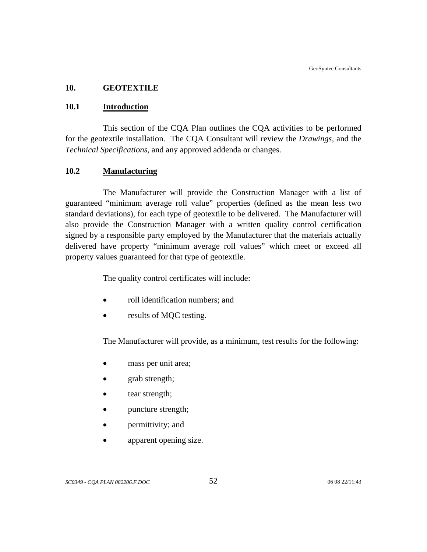### **10. GEOTEXTILE**

### **10.1 Introduction**

This section of the CQA Plan outlines the CQA activities to be performed for the geotextile installation. The CQA Consultant will review the *Drawings*, and the *Technical Specifications*, and any approved addenda or changes.

### **10.2 Manufacturing**

The Manufacturer will provide the Construction Manager with a list of guaranteed "minimum average roll value" properties (defined as the mean less two standard deviations), for each type of geotextile to be delivered. The Manufacturer will also provide the Construction Manager with a written quality control certification signed by a responsible party employed by the Manufacturer that the materials actually delivered have property "minimum average roll values" which meet or exceed all property values guaranteed for that type of geotextile.

The quality control certificates will include:

- roll identification numbers; and
- results of MQC testing.

The Manufacturer will provide, as a minimum, test results for the following:

- mass per unit area;
- grab strength;
- tear strength;
- puncture strength;
- permittivity; and
- apparent opening size.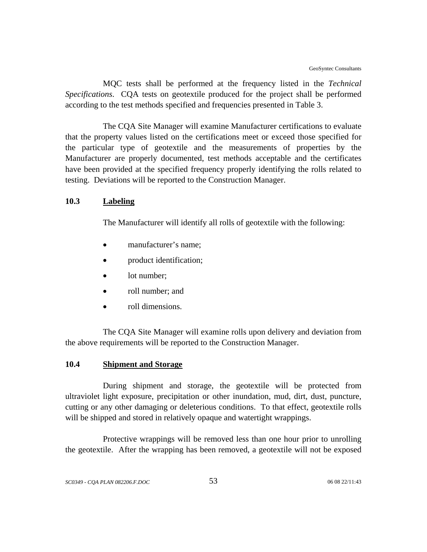MQC tests shall be performed at the frequency listed in the *Technical Specifications*. CQA tests on geotextile produced for the project shall be performed according to the test methods specified and frequencies presented in Table 3.

The CQA Site Manager will examine Manufacturer certifications to evaluate that the property values listed on the certifications meet or exceed those specified for the particular type of geotextile and the measurements of properties by the Manufacturer are properly documented, test methods acceptable and the certificates have been provided at the specified frequency properly identifying the rolls related to testing. Deviations will be reported to the Construction Manager.

### **10.3 Labeling**

The Manufacturer will identify all rolls of geotextile with the following:

- manufacturer's name;
- product identification;
- lot number;
- roll number; and
- roll dimensions.

The CQA Site Manager will examine rolls upon delivery and deviation from the above requirements will be reported to the Construction Manager.

# **10.4 Shipment and Storage**

During shipment and storage, the geotextile will be protected from ultraviolet light exposure, precipitation or other inundation, mud, dirt, dust, puncture, cutting or any other damaging or deleterious conditions. To that effect, geotextile rolls will be shipped and stored in relatively opaque and watertight wrappings.

Protective wrappings will be removed less than one hour prior to unrolling the geotextile. After the wrapping has been removed, a geotextile will not be exposed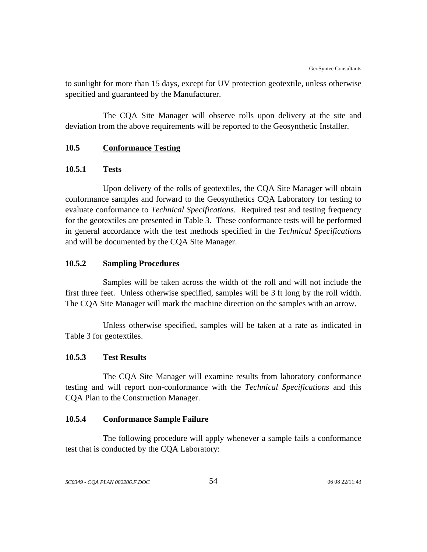to sunlight for more than 15 days, except for UV protection geotextile, unless otherwise specified and guaranteed by the Manufacturer.

The CQA Site Manager will observe rolls upon delivery at the site and deviation from the above requirements will be reported to the Geosynthetic Installer.

# **10.5 Conformance Testing**

### **10.5.1 Tests**

Upon delivery of the rolls of geotextiles, the CQA Site Manager will obtain conformance samples and forward to the Geosynthetics CQA Laboratory for testing to evaluate conformance to *Technical Specifications*. Required test and testing frequency for the geotextiles are presented in Table 3. These conformance tests will be performed in general accordance with the test methods specified in the *Technical Specifications* and will be documented by the CQA Site Manager.

### **10.5.2 Sampling Procedures**

Samples will be taken across the width of the roll and will not include the first three feet. Unless otherwise specified, samples will be 3 ft long by the roll width. The CQA Site Manager will mark the machine direction on the samples with an arrow.

Unless otherwise specified, samples will be taken at a rate as indicated in Table 3 for geotextiles.

# **10.5.3 Test Results**

The CQA Site Manager will examine results from laboratory conformance testing and will report non-conformance with the *Technical Specifications* and this CQA Plan to the Construction Manager.

# **10.5.4 Conformance Sample Failure**

The following procedure will apply whenever a sample fails a conformance test that is conducted by the CQA Laboratory: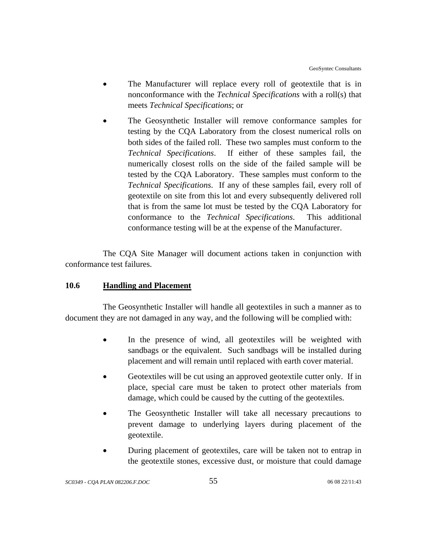- The Manufacturer will replace every roll of geotextile that is in nonconformance with the *Technical Specifications* with a roll(s) that meets *Technical Specifications*; or
- The Geosynthetic Installer will remove conformance samples for testing by the CQA Laboratory from the closest numerical rolls on both sides of the failed roll. These two samples must conform to the *Technical Specifications*. If either of these samples fail, the numerically closest rolls on the side of the failed sample will be tested by the CQA Laboratory. These samples must conform to the *Technical Specifications*. If any of these samples fail, every roll of geotextile on site from this lot and every subsequently delivered roll that is from the same lot must be tested by the CQA Laboratory for conformance to the *Technical Specifications*. This additional conformance testing will be at the expense of the Manufacturer.

The CQA Site Manager will document actions taken in conjunction with conformance test failures.

# **10.6 Handling and Placement**

The Geosynthetic Installer will handle all geotextiles in such a manner as to document they are not damaged in any way, and the following will be complied with:

- In the presence of wind, all geotextiles will be weighted with sandbags or the equivalent. Such sandbags will be installed during placement and will remain until replaced with earth cover material.
- Geotextiles will be cut using an approved geotextile cutter only. If in place, special care must be taken to protect other materials from damage, which could be caused by the cutting of the geotextiles.
- The Geosynthetic Installer will take all necessary precautions to prevent damage to underlying layers during placement of the geotextile.
- During placement of geotextiles, care will be taken not to entrap in the geotextile stones, excessive dust, or moisture that could damage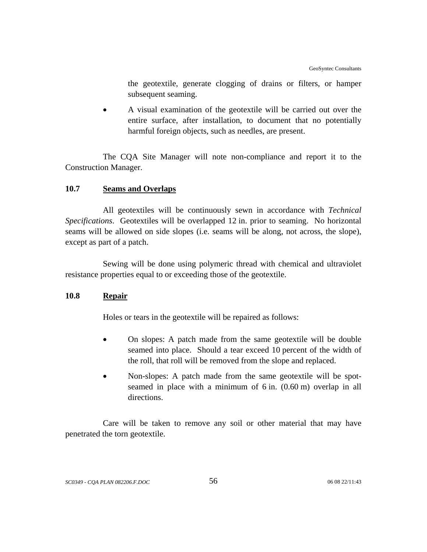the geotextile, generate clogging of drains or filters, or hamper subsequent seaming.

• A visual examination of the geotextile will be carried out over the entire surface, after installation, to document that no potentially harmful foreign objects, such as needles, are present.

The CQA Site Manager will note non-compliance and report it to the Construction Manager.

# **10.7 Seams and Overlaps**

All geotextiles will be continuously sewn in accordance with *Technical Specifications*. Geotextiles will be overlapped 12 in. prior to seaming. No horizontal seams will be allowed on side slopes (i.e. seams will be along, not across, the slope), except as part of a patch.

Sewing will be done using polymeric thread with chemical and ultraviolet resistance properties equal to or exceeding those of the geotextile.

# **10.8 Repair**

Holes or tears in the geotextile will be repaired as follows:

- On slopes: A patch made from the same geotextile will be double seamed into place. Should a tear exceed 10 percent of the width of the roll, that roll will be removed from the slope and replaced.
- Non-slopes: A patch made from the same geotextile will be spotseamed in place with a minimum of 6 in. (0.60 m) overlap in all directions.

Care will be taken to remove any soil or other material that may have penetrated the torn geotextile.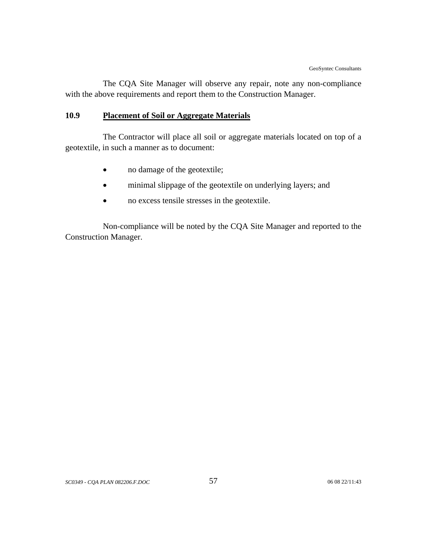The CQA Site Manager will observe any repair, note any non-compliance with the above requirements and report them to the Construction Manager.

# **10.9 Placement of Soil or Aggregate Materials**

The Contractor will place all soil or aggregate materials located on top of a geotextile, in such a manner as to document:

- no damage of the geotextile;
- minimal slippage of the geotextile on underlying layers; and
- no excess tensile stresses in the geotextile.

Non-compliance will be noted by the CQA Site Manager and reported to the Construction Manager.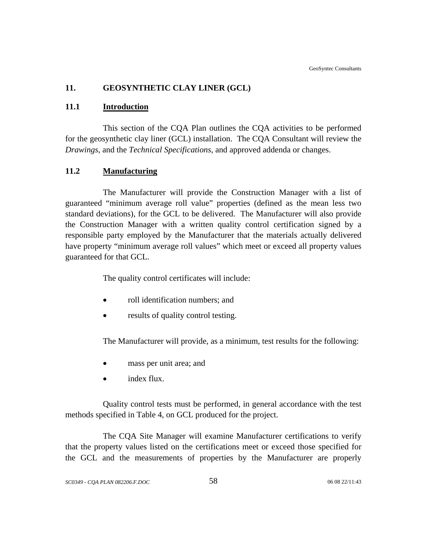# **11. GEOSYNTHETIC CLAY LINER (GCL)**

#### **11.1 Introduction**

This section of the CQA Plan outlines the CQA activities to be performed for the geosynthetic clay liner (GCL) installation. The CQA Consultant will review the *Drawings*, and the *Technical Specifications*, and approved addenda or changes.

### **11.2 Manufacturing**

The Manufacturer will provide the Construction Manager with a list of guaranteed "minimum average roll value" properties (defined as the mean less two standard deviations), for the GCL to be delivered. The Manufacturer will also provide the Construction Manager with a written quality control certification signed by a responsible party employed by the Manufacturer that the materials actually delivered have property "minimum average roll values" which meet or exceed all property values guaranteed for that GCL.

The quality control certificates will include:

- roll identification numbers; and
- results of quality control testing.

The Manufacturer will provide, as a minimum, test results for the following:

- mass per unit area; and
- index flux.

Quality control tests must be performed, in general accordance with the test methods specified in Table 4, on GCL produced for the project.

The CQA Site Manager will examine Manufacturer certifications to verify that the property values listed on the certifications meet or exceed those specified for the GCL and the measurements of properties by the Manufacturer are properly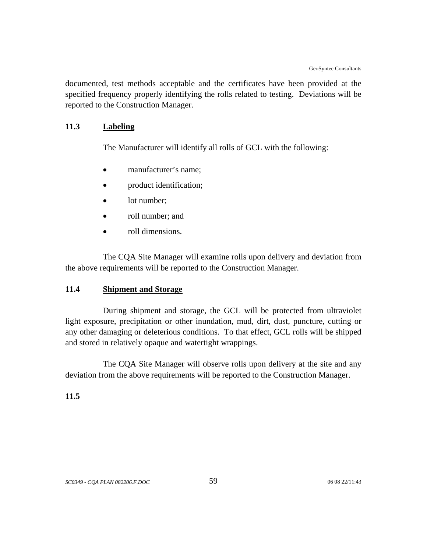documented, test methods acceptable and the certificates have been provided at the specified frequency properly identifying the rolls related to testing. Deviations will be reported to the Construction Manager.

# **11.3 Labeling**

The Manufacturer will identify all rolls of GCL with the following:

- manufacturer's name:
- product identification;
- lot number:
- roll number; and
- roll dimensions.

The CQA Site Manager will examine rolls upon delivery and deviation from the above requirements will be reported to the Construction Manager.

### **11.4 Shipment and Storage**

During shipment and storage, the GCL will be protected from ultraviolet light exposure, precipitation or other inundation, mud, dirt, dust, puncture, cutting or any other damaging or deleterious conditions. To that effect, GCL rolls will be shipped and stored in relatively opaque and watertight wrappings.

The CQA Site Manager will observe rolls upon delivery at the site and any deviation from the above requirements will be reported to the Construction Manager.

### **11.5**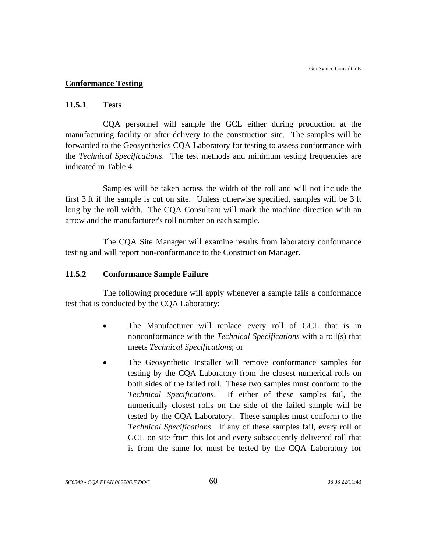### **Conformance Testing**

#### **11.5.1 Tests**

CQA personnel will sample the GCL either during production at the manufacturing facility or after delivery to the construction site. The samples will be forwarded to the Geosynthetics CQA Laboratory for testing to assess conformance with the *Technical Specifications*. The test methods and minimum testing frequencies are indicated in Table 4.

Samples will be taken across the width of the roll and will not include the first 3 ft if the sample is cut on site. Unless otherwise specified, samples will be 3 ft long by the roll width. The CQA Consultant will mark the machine direction with an arrow and the manufacturer's roll number on each sample.

The CQA Site Manager will examine results from laboratory conformance testing and will report non-conformance to the Construction Manager.

#### **11.5.2 Conformance Sample Failure**

The following procedure will apply whenever a sample fails a conformance test that is conducted by the CQA Laboratory:

- The Manufacturer will replace every roll of GCL that is in nonconformance with the *Technical Specifications* with a roll(s) that meets *Technical Specifications*; or
- The Geosynthetic Installer will remove conformance samples for testing by the CQA Laboratory from the closest numerical rolls on both sides of the failed roll. These two samples must conform to the *Technical Specifications*. If either of these samples fail, the numerically closest rolls on the side of the failed sample will be tested by the CQA Laboratory. These samples must conform to the *Technical Specifications*. If any of these samples fail, every roll of GCL on site from this lot and every subsequently delivered roll that is from the same lot must be tested by the CQA Laboratory for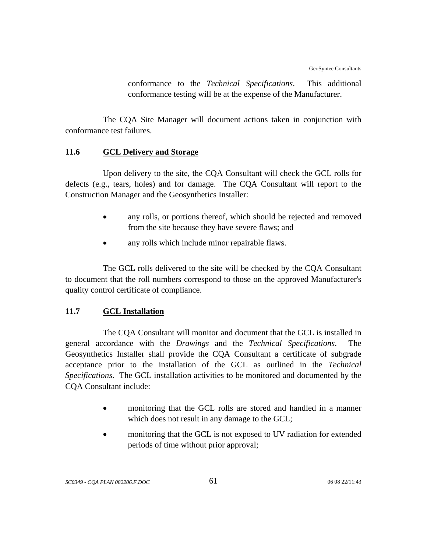conformance to the *Technical Specifications*. This additional conformance testing will be at the expense of the Manufacturer.

The CQA Site Manager will document actions taken in conjunction with conformance test failures.

### **11.6 GCL Delivery and Storage**

Upon delivery to the site, the CQA Consultant will check the GCL rolls for defects (e.g., tears, holes) and for damage. The CQA Consultant will report to the Construction Manager and the Geosynthetics Installer:

- any rolls, or portions thereof, which should be rejected and removed from the site because they have severe flaws; and
- any rolls which include minor repairable flaws.

The GCL rolls delivered to the site will be checked by the CQA Consultant to document that the roll numbers correspond to those on the approved Manufacturer's quality control certificate of compliance.

# **11.7 GCL Installation**

The CQA Consultant will monitor and document that the GCL is installed in general accordance with the *Drawings* and the *Technical Specifications*. The Geosynthetics Installer shall provide the CQA Consultant a certificate of subgrade acceptance prior to the installation of the GCL as outlined in the *Technical Specifications*. The GCL installation activities to be monitored and documented by the CQA Consultant include:

- monitoring that the GCL rolls are stored and handled in a manner which does not result in any damage to the GCL;
- monitoring that the GCL is not exposed to UV radiation for extended periods of time without prior approval;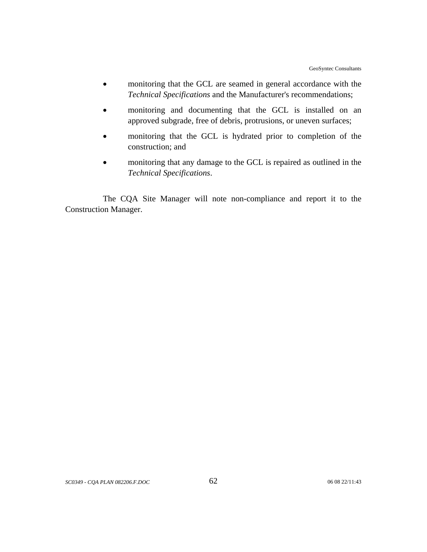- monitoring that the GCL are seamed in general accordance with the *Technical Specifications* and the Manufacturer's recommendations;
- monitoring and documenting that the GCL is installed on an approved subgrade, free of debris, protrusions, or uneven surfaces;
- monitoring that the GCL is hydrated prior to completion of the construction; and
- monitoring that any damage to the GCL is repaired as outlined in the *Technical Specifications*.

The CQA Site Manager will note non-compliance and report it to the Construction Manager.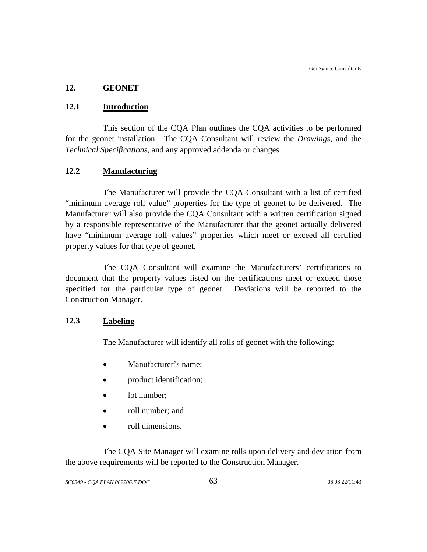# **12. GEONET**

# **12.1 Introduction**

This section of the CQA Plan outlines the CQA activities to be performed for the geonet installation. The CQA Consultant will review the *Drawings*, and the *Technical Specifications*, and any approved addenda or changes.

# **12.2 Manufacturing**

The Manufacturer will provide the CQA Consultant with a list of certified "minimum average roll value" properties for the type of geonet to be delivered. The Manufacturer will also provide the CQA Consultant with a written certification signed by a responsible representative of the Manufacturer that the geonet actually delivered have "minimum average roll values" properties which meet or exceed all certified property values for that type of geonet.

The CQA Consultant will examine the Manufacturers' certifications to document that the property values listed on the certifications meet or exceed those specified for the particular type of geonet. Deviations will be reported to the Construction Manager.

### **12.3 Labeling**

The Manufacturer will identify all rolls of geonet with the following:

- Manufacturer's name;
- product identification;
- lot number;
- roll number; and
- roll dimensions.

The CQA Site Manager will examine rolls upon delivery and deviation from the above requirements will be reported to the Construction Manager.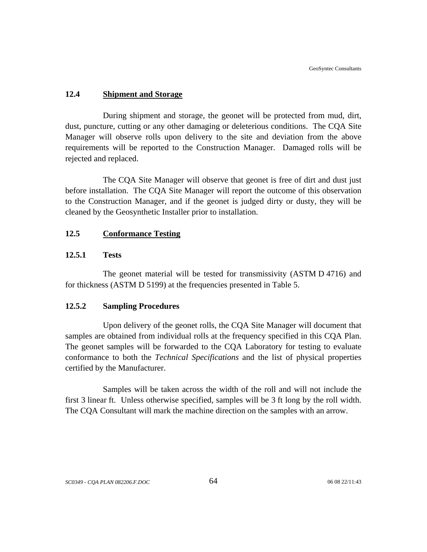# **12.4 Shipment and Storage**

During shipment and storage, the geonet will be protected from mud, dirt, dust, puncture, cutting or any other damaging or deleterious conditions. The CQA Site Manager will observe rolls upon delivery to the site and deviation from the above requirements will be reported to the Construction Manager. Damaged rolls will be rejected and replaced.

The CQA Site Manager will observe that geonet is free of dirt and dust just before installation. The CQA Site Manager will report the outcome of this observation to the Construction Manager, and if the geonet is judged dirty or dusty, they will be cleaned by the Geosynthetic Installer prior to installation.

# **12.5 Conformance Testing**

# **12.5.1 Tests**

The geonet material will be tested for transmissivity (ASTM D 4716) and for thickness (ASTM D 5199) at the frequencies presented in Table 5.

### **12.5.2 Sampling Procedures**

Upon delivery of the geonet rolls, the CQA Site Manager will document that samples are obtained from individual rolls at the frequency specified in this CQA Plan. The geonet samples will be forwarded to the CQA Laboratory for testing to evaluate conformance to both the *Technical Specifications* and the list of physical properties certified by the Manufacturer.

Samples will be taken across the width of the roll and will not include the first 3 linear ft. Unless otherwise specified, samples will be 3 ft long by the roll width. The CQA Consultant will mark the machine direction on the samples with an arrow.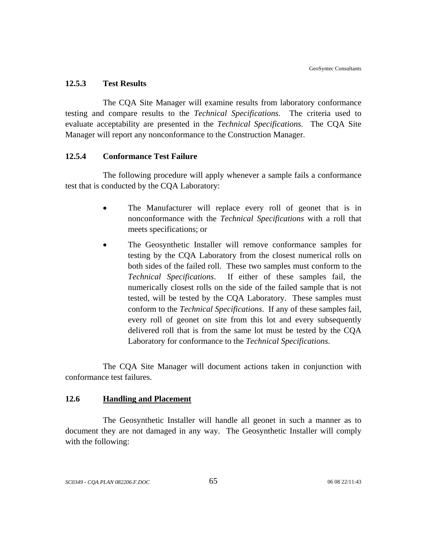#### **12.5.3 Test Results**

The CQA Site Manager will examine results from laboratory conformance testing and compare results to the *Technical Specifications*. The criteria used to evaluate acceptability are presented in the *Technical Specifications*. The CQA Site Manager will report any nonconformance to the Construction Manager.

#### **12.5.4 Conformance Test Failure**

The following procedure will apply whenever a sample fails a conformance test that is conducted by the CQA Laboratory:

- The Manufacturer will replace every roll of geonet that is in nonconformance with the *Technical Specifications* with a roll that meets specifications; or
- The Geosynthetic Installer will remove conformance samples for testing by the CQA Laboratory from the closest numerical rolls on both sides of the failed roll. These two samples must conform to the *Technical Specifications*. If either of these samples fail, the numerically closest rolls on the side of the failed sample that is not tested, will be tested by the CQA Laboratory. These samples must conform to the *Technical Specifications*. If any of these samples fail, every roll of geonet on site from this lot and every subsequently delivered roll that is from the same lot must be tested by the CQA Laboratory for conformance to the *Technical Specifications*.

The CQA Site Manager will document actions taken in conjunction with conformance test failures.

## **12.6 Handling and Placement**

The Geosynthetic Installer will handle all geonet in such a manner as to document they are not damaged in any way. The Geosynthetic Installer will comply with the following: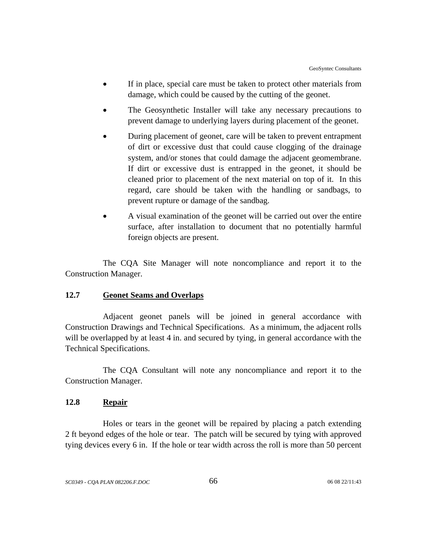- If in place, special care must be taken to protect other materials from damage, which could be caused by the cutting of the geonet.
- The Geosynthetic Installer will take any necessary precautions to prevent damage to underlying layers during placement of the geonet.
- During placement of geonet, care will be taken to prevent entrapment of dirt or excessive dust that could cause clogging of the drainage system, and/or stones that could damage the adjacent geomembrane. If dirt or excessive dust is entrapped in the geonet, it should be cleaned prior to placement of the next material on top of it. In this regard, care should be taken with the handling or sandbags, to prevent rupture or damage of the sandbag.
- A visual examination of the geonet will be carried out over the entire surface, after installation to document that no potentially harmful foreign objects are present.

The CQA Site Manager will note noncompliance and report it to the Construction Manager.

## **12.7 Geonet Seams and Overlaps**

Adjacent geonet panels will be joined in general accordance with Construction Drawings and Technical Specifications. As a minimum, the adjacent rolls will be overlapped by at least 4 in. and secured by tying, in general accordance with the Technical Specifications.

The CQA Consultant will note any noncompliance and report it to the Construction Manager.

## **12.8 Repair**

Holes or tears in the geonet will be repaired by placing a patch extending 2 ft beyond edges of the hole or tear. The patch will be secured by tying with approved tying devices every 6 in. If the hole or tear width across the roll is more than 50 percent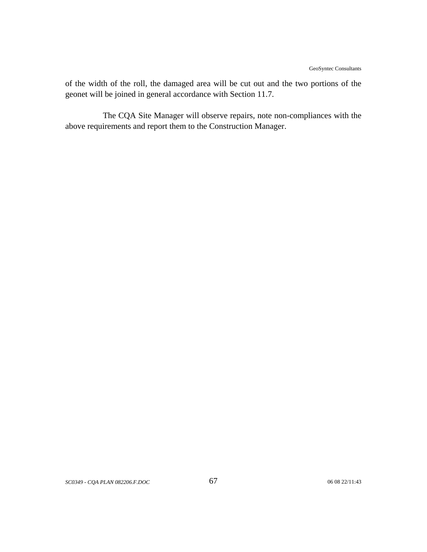of the width of the roll, the damaged area will be cut out and the two portions of the geonet will be joined in general accordance with Section 11.7.

The CQA Site Manager will observe repairs, note non-compliances with the above requirements and report them to the Construction Manager.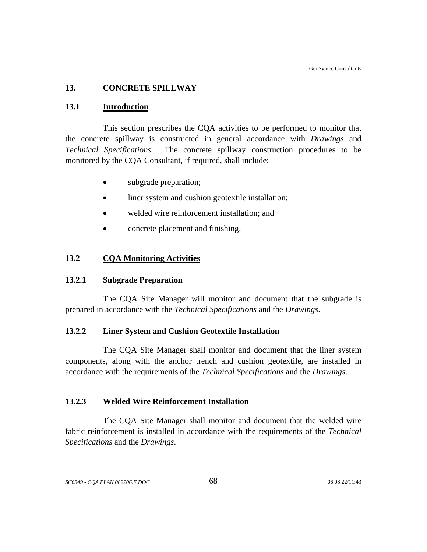#### **13. CONCRETE SPILLWAY**

#### **13.1 Introduction**

This section prescribes the CQA activities to be performed to monitor that the concrete spillway is constructed in general accordance with *Drawings* and *Technical Specifications*. The concrete spillway construction procedures to be monitored by the CQA Consultant, if required, shall include:

- subgrade preparation;
- liner system and cushion geotextile installation;
- welded wire reinforcement installation; and
- concrete placement and finishing.

#### **13.2 CQA Monitoring Activities**

#### **13.2.1 Subgrade Preparation**

The CQA Site Manager will monitor and document that the subgrade is prepared in accordance with the *Technical Specifications* and the *Drawings*.

## **13.2.2 Liner System and Cushion Geotextile Installation**

 The CQA Site Manager shall monitor and document that the liner system components, along with the anchor trench and cushion geotextile, are installed in accordance with the requirements of the *Technical Specifications* and the *Drawings*.

### **13.2.3 Welded Wire Reinforcement Installation**

The CQA Site Manager shall monitor and document that the welded wire fabric reinforcement is installed in accordance with the requirements of the *Technical Specifications* and the *Drawings*.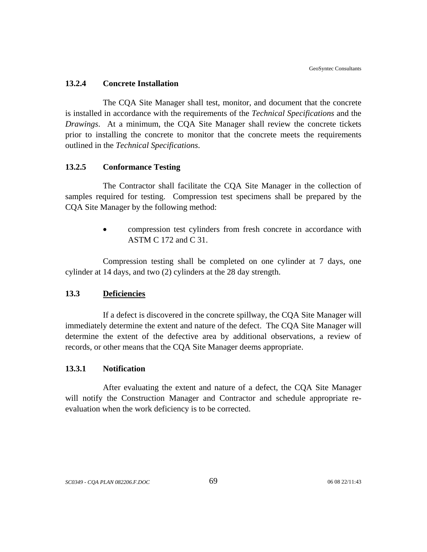#### **13.2.4 Concrete Installation**

The CQA Site Manager shall test, monitor, and document that the concrete is installed in accordance with the requirements of the *Technical Specifications* and the *Drawings*. At a minimum, the CQA Site Manager shall review the concrete tickets prior to installing the concrete to monitor that the concrete meets the requirements outlined in the *Technical Specifications*.

#### **13.2.5 Conformance Testing**

The Contractor shall facilitate the CQA Site Manager in the collection of samples required for testing. Compression test specimens shall be prepared by the CQA Site Manager by the following method:

> • compression test cylinders from fresh concrete in accordance with ASTM C 172 and C 31.

Compression testing shall be completed on one cylinder at 7 days, one cylinder at 14 days, and two (2) cylinders at the 28 day strength.

#### **13.3 Deficiencies**

If a defect is discovered in the concrete spillway, the CQA Site Manager will immediately determine the extent and nature of the defect. The CQA Site Manager will determine the extent of the defective area by additional observations, a review of records, or other means that the CQA Site Manager deems appropriate.

#### **13.3.1 Notification**

After evaluating the extent and nature of a defect, the CQA Site Manager will notify the Construction Manager and Contractor and schedule appropriate reevaluation when the work deficiency is to be corrected.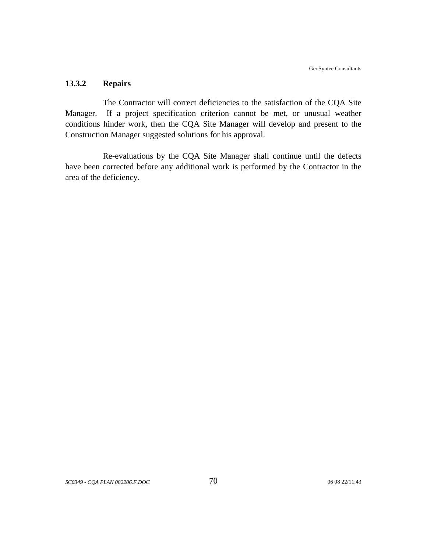## **13.3.2 Repairs**

The Contractor will correct deficiencies to the satisfaction of the CQA Site Manager. If a project specification criterion cannot be met, or unusual weather conditions hinder work, then the CQA Site Manager will develop and present to the Construction Manager suggested solutions for his approval.

Re-evaluations by the CQA Site Manager shall continue until the defects have been corrected before any additional work is performed by the Contractor in the area of the deficiency.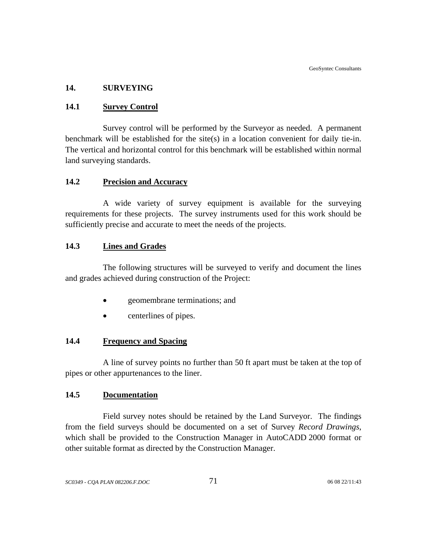### **14. SURVEYING**

### **14.1 Survey Control**

Survey control will be performed by the Surveyor as needed. A permanent benchmark will be established for the site(s) in a location convenient for daily tie-in. The vertical and horizontal control for this benchmark will be established within normal land surveying standards.

### **14.2 Precision and Accuracy**

A wide variety of survey equipment is available for the surveying requirements for these projects. The survey instruments used for this work should be sufficiently precise and accurate to meet the needs of the projects.

## **14.3 Lines and Grades**

The following structures will be surveyed to verify and document the lines and grades achieved during construction of the Project:

- geomembrane terminations; and
- centerlines of pipes.

## **14.4 Frequency and Spacing**

A line of survey points no further than 50 ft apart must be taken at the top of pipes or other appurtenances to the liner.

### **14.5 Documentation**

Field survey notes should be retained by the Land Surveyor. The findings from the field surveys should be documented on a set of Survey *Record Drawings*, which shall be provided to the Construction Manager in AutoCADD 2000 format or other suitable format as directed by the Construction Manager.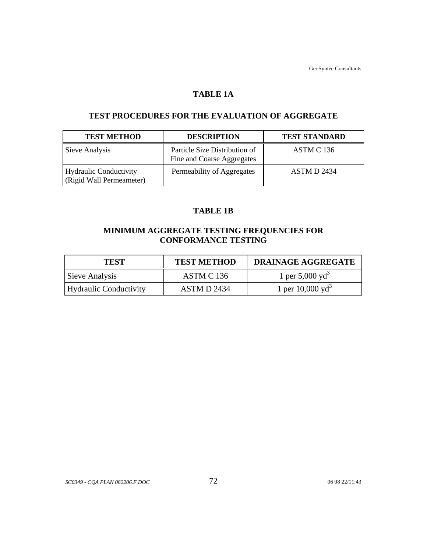GeoSyntec Consultants

## **TABLE 1A**

## **TEST PROCEDURES FOR THE EVALUATION OF AGGREGATE**

| <b>TEST METHOD</b>                                 | <b>DESCRIPTION</b>                                          | <b>TEST STANDARD</b> |
|----------------------------------------------------|-------------------------------------------------------------|----------------------|
| Sieve Analysis                                     | Particle Size Distribution of<br>Fine and Coarse Aggregates | ASTM C 136           |
| Hydraulic Conductivity<br>(Rigid Wall Permeameter) | Permeability of Aggregates                                  | ASTM D 2434          |

## **TABLE 1B**

# **MINIMUM AGGREGATE TESTING FREQUENCIES FOR CONFORMANCE TESTING**

| <b>TEST</b>            | <b>TEST METHOD</b> | <b>DRAINAGE AGGREGATE</b>    |
|------------------------|--------------------|------------------------------|
| Sieve Analysis         | ASTM C 136         | 1 per 5,000 yd <sup>3</sup>  |
| Hydraulic Conductivity | ASTM D 2434        | 1 per 10,000 yd <sup>3</sup> |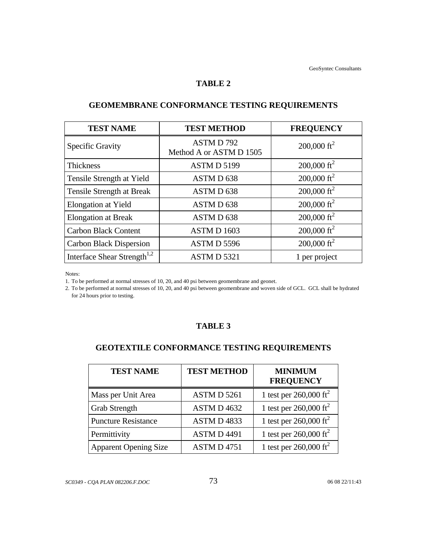#### **TABLE 2**

| <b>TEST NAME</b>                        | <b>TEST METHOD</b>                  | <b>FREQUENCY</b>        |
|-----------------------------------------|-------------------------------------|-------------------------|
| <b>Specific Gravity</b>                 | ASTMD792<br>Method A or ASTM D 1505 | 200,000 ft <sup>2</sup> |
| <b>Thickness</b>                        | ASTMD 5199                          | 200,000 ft <sup>2</sup> |
| Tensile Strength at Yield               | ASTM D 638                          | 200,000 ft <sup>2</sup> |
| Tensile Strength at Break               | ASTMD 638                           | 200,000 ft <sup>2</sup> |
| Elongation at Yield                     | ASTMD 638                           | 200,000 ft <sup>2</sup> |
| <b>Elongation at Break</b>              | ASTMD 638                           | $200,000 \text{ ft}^2$  |
| <b>Carbon Black Content</b>             | ASTMD 1603                          | 200,000 ft <sup>2</sup> |
| <b>Carbon Black Dispersion</b>          | ASTMD 5596                          | $200,000 \text{ ft}^2$  |
| Interface Shear Strength <sup>1,2</sup> | ASTMD 5321                          | 1 per project           |

# **GEOMEMBRANE CONFORMANCE TESTING REQUIREMENTS**

Notes:

1. To be performed at normal stresses of 10, 20, and 40 psi between geomembrane and geonet.

2. To be performed at normal stresses of 10, 20, and 40 psi between geomembrane and woven side of GCL. GCL shall be hydrated for 24 hours prior to testing.

## **TABLE 3**

# **GEOTEXTILE CONFORMANCE TESTING REQUIREMENTS**

| <b>TEST NAME</b>             | <b>TEST METHOD</b> | <b>MINIMUM</b><br><b>FREQUENCY</b> |
|------------------------------|--------------------|------------------------------------|
| Mass per Unit Area           | ASTM D 5261        | 1 test per $260,000 \text{ ft}^2$  |
| <b>Grab Strength</b>         | ASTM D 4632        | 1 test per $260,000 \text{ ft}^2$  |
| <b>Puncture Resistance</b>   | ASTMD4833          | 1 test per $260,000 \text{ ft}^2$  |
| Permittivity                 | <b>ASTMD4491</b>   | 1 test per $260,000 \text{ ft}^2$  |
| <b>Apparent Opening Size</b> | <b>ASTM D 4751</b> | 1 test per $260,000 \text{ ft}^2$  |